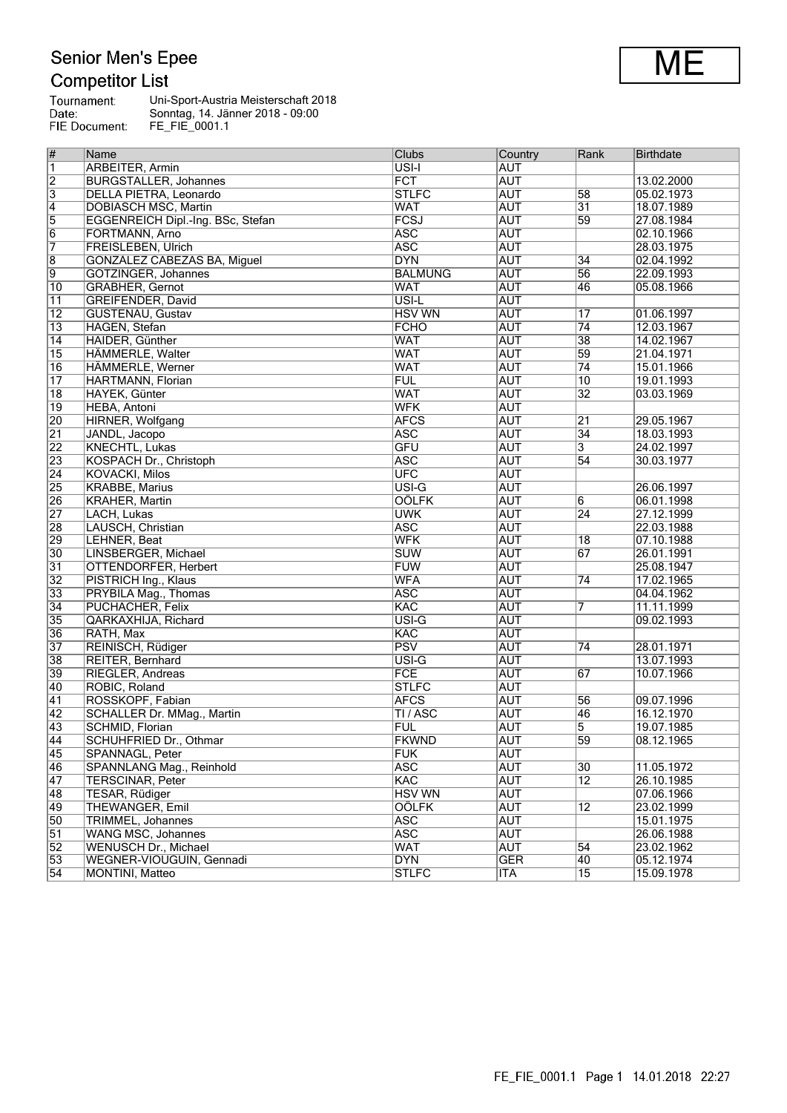# Senior Men's Epee<br>Competitor List

| Tournament:   | Uni-Sport-Austria Meisterschaft 2018 |
|---------------|--------------------------------------|
| Date:         | Sonntag, 14. Jänner 2018 - 09:00     |
| FIE Document: | FE FIE 0001.1                        |

| #               | Name                                                | Clubs              | Country                  | Rank            | <b>Birthdate</b>         |
|-----------------|-----------------------------------------------------|--------------------|--------------------------|-----------------|--------------------------|
| $\overline{1}$  | <b>ARBEITER, Armin</b>                              | USI-I              | <b>AUT</b>               |                 |                          |
| $\overline{2}$  | <b>BURGSTALLER, Johannes</b>                        | FCT                | <b>AUT</b>               |                 | 13.02.2000               |
| $\overline{3}$  | DELLA PIETRA, Leonardo                              | <b>STLFC</b>       | <b>AUT</b>               | 58              | 05.02.1973               |
| $\overline{4}$  | <b>DOBIASCH MSC, Martin</b>                         | WAT                | <b>AUT</b>               | $\overline{31}$ | 18.07.1989               |
| $\overline{5}$  | EGGENREICH Dipl.-Ing. BSc, Stefan                   | FCSJ               | <b>AUT</b>               | 59              | 27.08.1984               |
| $\overline{6}$  | FORTMANN, Arno                                      | <b>ASC</b>         | <b>AUT</b>               |                 | 02.10.1966               |
| 7               | <b>FREISLEBEN, Ulrich</b>                           | <b>ASC</b>         | <b>AUT</b>               |                 | 28.03.1975               |
| $\overline{8}$  | GONZÀLEZ CABEZAS BA, Miguel                         | <b>DYN</b>         | <b>AUT</b>               | 34              | 02.04.1992               |
| 9               | GÖTZINGER, Johannes                                 | <b>BALMUNG</b>     | <b>AUT</b>               | 56              | 22.09.1993               |
| $\overline{10}$ | <b>GRABHER, Gernot</b>                              | <b>WAT</b>         | <b>AUT</b>               | 46              | 05.08.1966               |
| $\overline{11}$ | GREIFENDER, David                                   | USI-L              | <b>AUT</b>               |                 |                          |
| $\overline{12}$ | <b>GUSTENAU, Gustav</b>                             | <b>HSV WN</b>      | <b>AUT</b>               | 17              | 01.06.1997               |
| $\overline{13}$ | HAGEN, Stefan                                       | <b>FCHO</b>        | <b>AUT</b>               | $\overline{74}$ | 12.03.1967               |
| 14              | HAIDER, Günther                                     | <b>WAT</b>         | <b>AUT</b>               | $\overline{38}$ | 14.02.1967               |
| $\overline{15}$ | HÄMMERLE, Walter                                    | <b>WAT</b>         | AUT                      | 59              | 21.04.1971               |
| $\overline{16}$ | <b>HÄMMERLE, Werner</b>                             | <b>WAT</b>         | <b>AUT</b>               | $\overline{74}$ | 15.01.1966               |
| $\overline{17}$ | <b>HARTMANN, Florian</b>                            | <b>FUL</b>         | <b>AUT</b>               | $\overline{10}$ | 19.01.1993               |
| $\overline{18}$ | HAYEK, Günter                                       | <b>WAT</b>         | <b>AUT</b>               | $\overline{32}$ | 03.03.1969               |
| $\overline{19}$ | <b>HEBA, Antoni</b>                                 | <b>WFK</b>         | <b>AUT</b>               |                 |                          |
| $\overline{20}$ | HIRNER, Wolfgang                                    | <b>AFCS</b>        | <b>AUT</b>               | $\overline{21}$ | 29.05.1967               |
| $\overline{21}$ | JANDL, Jacopo                                       | <b>ASC</b>         | <b>AUT</b>               | $\overline{34}$ | 18.03.1993               |
| $\overline{22}$ | <b>KNECHTL, Lukas</b>                               | <b>GFU</b>         | <b>AUT</b>               | 3               | 24.02.1997               |
| $\overline{23}$ | KOSPACH Dr., Christoph                              | <b>ASC</b>         | <b>AUT</b>               | $\overline{54}$ | 30.03.1977               |
| $\overline{24}$ | <b>KOVACKI, Milos</b>                               | UFC                | <b>AUT</b>               |                 |                          |
| 25              | <b>KRABBE, Marius</b>                               | $\overline{USI-G}$ | <b>AUT</b>               |                 | 26.06.1997               |
| 26              | <b>KRAHER, Martin</b>                               | <b>OÖLFK</b>       | <b>AUT</b>               | 6               | 06.01.1998               |
| $\overline{27}$ | LACH, Lukas                                         | <b>UWK</b>         | <b>AUT</b>               | $\overline{24}$ | 27.12.1999               |
| 28              | LAUSCH, Christian                                   | <b>ASC</b>         | <b>AUT</b>               |                 | 22.03.1988               |
| 29              | LEHNER, Beat                                        | <b>WFK</b>         | <b>AUT</b>               | 18              | 07.10.1988               |
| $\overline{30}$ | LINSBERGER, Michael                                 | <b>SUW</b>         | <b>AUT</b>               | 67              | 26.01.1991               |
| $\overline{31}$ | OTTENDORFER, Herbert                                | FUW                | <b>AUT</b>               |                 | 25.08.1947               |
| $\overline{32}$ | PISTRICH Ing., Klaus                                | <b>WFA</b>         | <b>AUT</b>               | 74              | 17.02.1965               |
| 33              | PRYBILA Mag., Thomas                                | <b>ASC</b>         | <b>AUT</b>               |                 | 04.04.1962               |
| $\overline{34}$ | PUCHACHER, Felix                                    | <b>KAC</b>         | <b>AUT</b>               | 7               | 11.11.1999               |
| 35              | QARKAXHIJA, Richard                                 | USI-G              | <b>AUT</b>               |                 | 09.02.1993               |
| 36              | RATH, Max                                           | <b>KAC</b>         | <b>AUT</b>               |                 |                          |
| $\overline{37}$ | REINISCH, Rüdiger                                   | <b>PSV</b>         | <b>AUT</b>               | 74              | 28.01.1971               |
| 38              | REITER, Bernhard                                    | USI-G              | <b>AUT</b>               |                 | 13.07.1993               |
| 39              | RIEGLER, Andreas                                    | FCE                | <b>AUT</b>               | 67              | 10.07.1966               |
| 40              | ROBIC, Roland                                       | <b>STLFC</b>       | <b>AUT</b>               |                 |                          |
| $\overline{41}$ | ROSSKOPF, Fabian                                    | <b>AFCS</b>        | <b>AUT</b>               | 56              | 09.07.1996               |
| $\sqrt{42}$     | SCHALLER Dr. MMag., Martin                          | TI / ASC           | <b>AUT</b>               | 46              | 16.12.1970               |
| 43              | SCHMID, Florian                                     | <b>FUL</b>         | <b>AUT</b>               | 5               | 19.07.1985               |
| 44              | <b>SCHUHFRIED Dr., Othmar</b>                       | <b>FKWND</b>       | <b>AUT</b>               | 59              | 08.12.1965               |
| 45              | SPANNAGL, Peter                                     | <b>FUK</b>         | AUT                      |                 |                          |
| 46              |                                                     | <b>ASC</b>         |                          | $\overline{30}$ |                          |
| $\overline{47}$ | SPANNLANG Mag., Reinhold<br><b>TERSCINAR, Peter</b> | <b>KAC</b>         | <b>AUT</b><br><b>AUT</b> | $\overline{12}$ | 11.05.1972<br>26.10.1985 |
|                 |                                                     |                    |                          |                 |                          |
| 48              | TESAR, Rüdiger                                      | <b>HSV WN</b>      | <b>AUT</b>               |                 | 07.06.1966               |
| 49              | <b>THEWANGER, Emil</b>                              | <b>OÖLFK</b>       | <b>AUT</b>               | $\overline{12}$ | 23.02.1999               |
| 50              | TRIMMEL, Johannes                                   | <b>ASC</b>         | <b>AUT</b>               |                 | 15.01.1975               |
| $\overline{51}$ | <b>WANG MSC, Johannes</b>                           | <b>ASC</b>         | AUT                      |                 | 26.06.1988               |
| $\overline{52}$ | WENUSCH Dr., Michael                                | <b>WAT</b>         | <b>AUT</b>               | 54              | 23.02.1962               |
| 53              | WEGNER-VIOUGUIN, Gennadi                            | <b>DYN</b>         | <b>GER</b>               | 40              | 05.12.1974               |
| $\overline{54}$ | MONTINI, Matteo                                     | <b>STLFC</b>       | ITA                      | $\overline{15}$ | 15.09.1978               |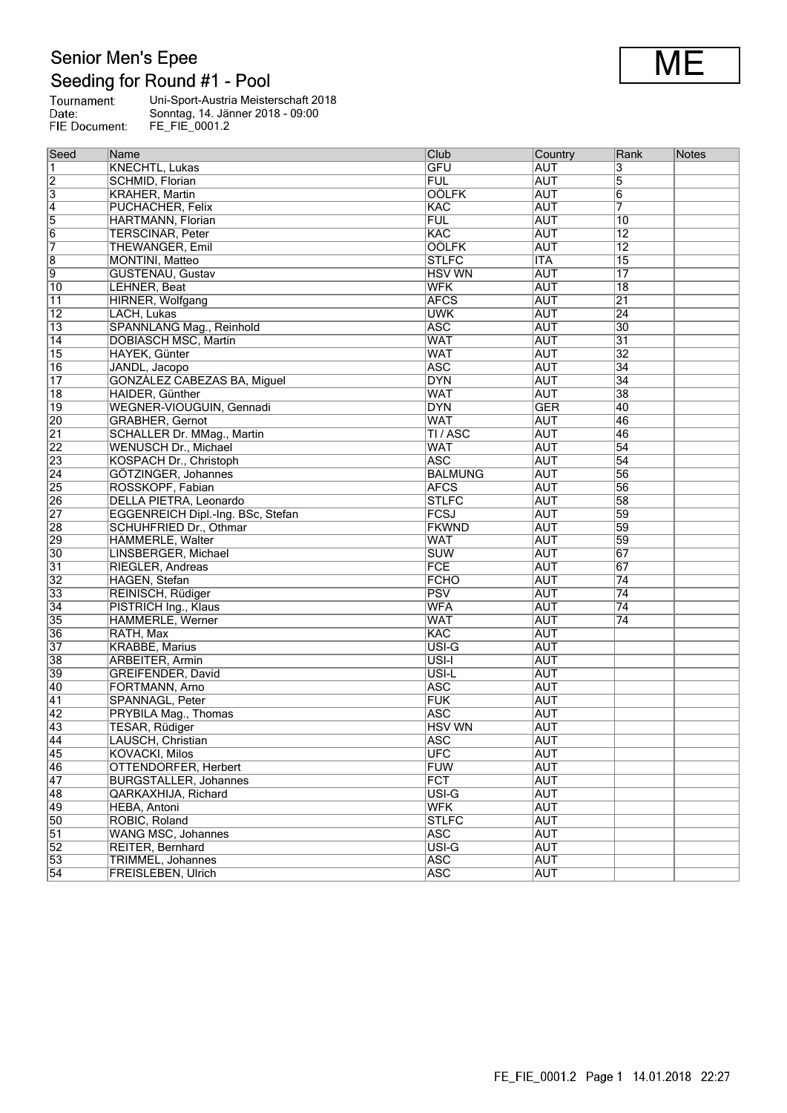# Senior Men's Epee<br>Seeding for Round #1 - Pool

| Tournament:   | Uni-Sport-Austria Meisterschaft 2018 |
|---------------|--------------------------------------|
| Date:         | Sonntag, 14. Jänner 2018 - 09:00     |
| FIE Document: | FE FIE 0001.2                        |

| Seed            | Name                               | Club           | Country    | Rank            | Notes |
|-----------------|------------------------------------|----------------|------------|-----------------|-------|
| $\vert$ 1       | KNECHTL, Lukas                     | <b>GFU</b>     | <b>AUT</b> | 3               |       |
| $\overline{2}$  | SCHMID, Florian                    | <b>FUL</b>     | <b>AUT</b> | 5               |       |
| $\overline{3}$  | <b>KRAHER, Martin</b>              | <b>OÖLFK</b>   | <b>AUT</b> | $6\overline{6}$ |       |
| $\overline{4}$  | PUCHACHER, Felix                   | <b>KAC</b>     | <b>AUT</b> | 7               |       |
| $\overline{5}$  | HARTMANN, Florian                  | <b>FUL</b>     | <b>AUT</b> | 10              |       |
| $\overline{6}$  | <b>TERSCINAR, Peter</b>            | KAC            | <b>AUT</b> | $\overline{12}$ |       |
| 7               | THEWANGER, Emil                    | <b>OÖLFK</b>   | <b>AUT</b> | $\overline{12}$ |       |
| $\overline{8}$  | MONTINI, Matteo                    | <b>STLFC</b>   | <b>ITA</b> | 15              |       |
| $\overline{9}$  | <b>GUSTENAU, Gustav</b>            | <b>HSV WN</b>  | <b>AUT</b> | $\overline{17}$ |       |
| $\overline{10}$ | LEHNER, Beat                       | <b>WFK</b>     | <b>AUT</b> | $\overline{18}$ |       |
| $\overline{11}$ | HIRNER, Wolfgang                   | <b>AFCS</b>    | <b>AUT</b> | $\overline{21}$ |       |
| $\overline{12}$ | LACH, Lukas                        | <b>UWK</b>     | <b>AUT</b> | $\overline{24}$ |       |
| $\overline{13}$ | SPANNLANG Mag., Reinhold           | <b>ASC</b>     | <b>AUT</b> | $\overline{30}$ |       |
| $\sqrt{14}$     | <b>DOBIASCH MSC, Martin</b>        | <b>WAT</b>     | <b>AUT</b> | $\overline{31}$ |       |
| $\overline{15}$ | HAYEK, Günter                      | <b>WAT</b>     | <b>AUT</b> | $\overline{32}$ |       |
| 16              | JANDL, Jacopo                      | <b>ASC</b>     | <b>AUT</b> | 34              |       |
| $\overline{17}$ | <b>GONZALEZ CABEZAS BA, Miguel</b> | <b>DYN</b>     | <b>AUT</b> | $\overline{34}$ |       |
| $\overline{18}$ | HAIDER, Günther                    | <b>WAT</b>     | <b>AUT</b> | 38              |       |
| $ 19\rangle$    | WEGNER-VIOUGUIN, Gennadi           | <b>DYN</b>     | <b>GER</b> | 40              |       |
| 20              | <b>GRABHER, Gernot</b>             | <b>WAT</b>     | <b>AUT</b> | 46              |       |
| $\overline{21}$ | <b>SCHALLER Dr. MMag., Martin</b>  | TI/ASC         | <b>AUT</b> | 46              |       |
| $\overline{22}$ | WENUSCH Dr., Michael               | <b>WAT</b>     | <b>AUT</b> | 54              |       |
| $\overline{23}$ | KOSPACH Dr., Christoph             | <b>ASC</b>     | <b>AUT</b> | $\overline{54}$ |       |
| $\overline{24}$ | GÖTZINGER, Johannes                | <b>BALMUNG</b> | <b>AUT</b> | 56              |       |
| 25              | ROSSKOPF, Fabian                   | <b>AFCS</b>    | <b>AUT</b> | 56              |       |
| $\overline{26}$ | <b>DELLA PIETRA, Leonardo</b>      | <b>STLFC</b>   | <b>AUT</b> | 58              |       |
| $\overline{27}$ | EGGENREICH Dipl.-Ing. BSc, Stefan  | FCSJ           | <b>AUT</b> | 59              |       |
| 28              | <b>SCHUHFRIED Dr., Othmar</b>      | <b>FKWND</b>   | <b>AUT</b> | 59              |       |
| 29              | HÄMMERLE, Walter                   | <b>WAT</b>     | <b>AUT</b> | 59              |       |
| $\overline{30}$ | LINSBERGER, Michael                | <b>SUW</b>     | <b>AUT</b> | 67              |       |
| $\overline{31}$ | RIEGLER, Andreas                   | FCE            | <b>AUT</b> | 67              |       |
| $\overline{32}$ | HAGEN, Stefan                      | <b>FCHO</b>    | <b>AUT</b> | 74              |       |
| 33              | REINISCH, Rüdiger                  | PSV            | <b>AUT</b> | $\overline{74}$ |       |
| $\overline{34}$ | PISTRICH Ing., Klaus               | <b>WFA</b>     | <b>AUT</b> | $\overline{74}$ |       |
| 35              | HÄMMERLE, Werner                   | <b>WAT</b>     | <b>AUT</b> | 74              |       |
| 36              | RATH, Max                          | KAC            | <b>AUT</b> |                 |       |
| $\overline{37}$ | <b>KRABBE, Marius</b>              | USI-G          | <b>AUT</b> |                 |       |
| 38              | ARBEITER, Armin                    | USI-I          | <b>AUT</b> |                 |       |
| 39              | GREIFENDER, David                  | USI-L          | <b>AUT</b> |                 |       |
| 40              | FORTMANN, Arno                     | <b>ASC</b>     | <b>AUT</b> |                 |       |
| 41              | SPANNAGL, Peter                    | <b>FUK</b>     | <b>AUT</b> |                 |       |
| $\overline{42}$ | PRYBILA Mag., Thomas               | <b>ASC</b>     | <b>AUT</b> |                 |       |
| 43              | TESAR, Rüdiger                     | <b>HSV WN</b>  | <b>AUT</b> |                 |       |
| 44              | LAUSCH, Christian                  | <b>ASC</b>     | <b>AUT</b> |                 |       |
| 45              | <b>KOVACKI, Milos</b>              | <b>UFC</b>     | <b>AUT</b> |                 |       |
| 46              | OTTENDORFER, Herbert               | FUW            | <b>AUT</b> |                 |       |
| $\overline{47}$ | <b>BURGSTALLER, Johannes</b>       | <b>FCT</b>     | <b>AUT</b> |                 |       |
| 48              | <b>QARKAXHIJA, Richard</b>         | USI-G          | <b>AUT</b> |                 |       |
| 49              | HEBA, Antoni                       | <b>WFK</b>     | <b>AUT</b> |                 |       |
| 50              | ROBIC, Roland                      | <b>STLFC</b>   | <b>AUT</b> |                 |       |
| $\overline{51}$ | WANG MSC, Johannes                 | <b>ASC</b>     | <b>AUT</b> |                 |       |
| $\overline{52}$ | REITER, Bernhard                   | USI-G          | <b>AUT</b> |                 |       |
| 53              | <b>TRIMMEL, Johannes</b>           | <b>ASC</b>     | <b>AUT</b> |                 |       |
| $\overline{54}$ | <b>FREISLEBEN, Ulrich</b>          | <b>ASC</b>     | <b>AUT</b> |                 |       |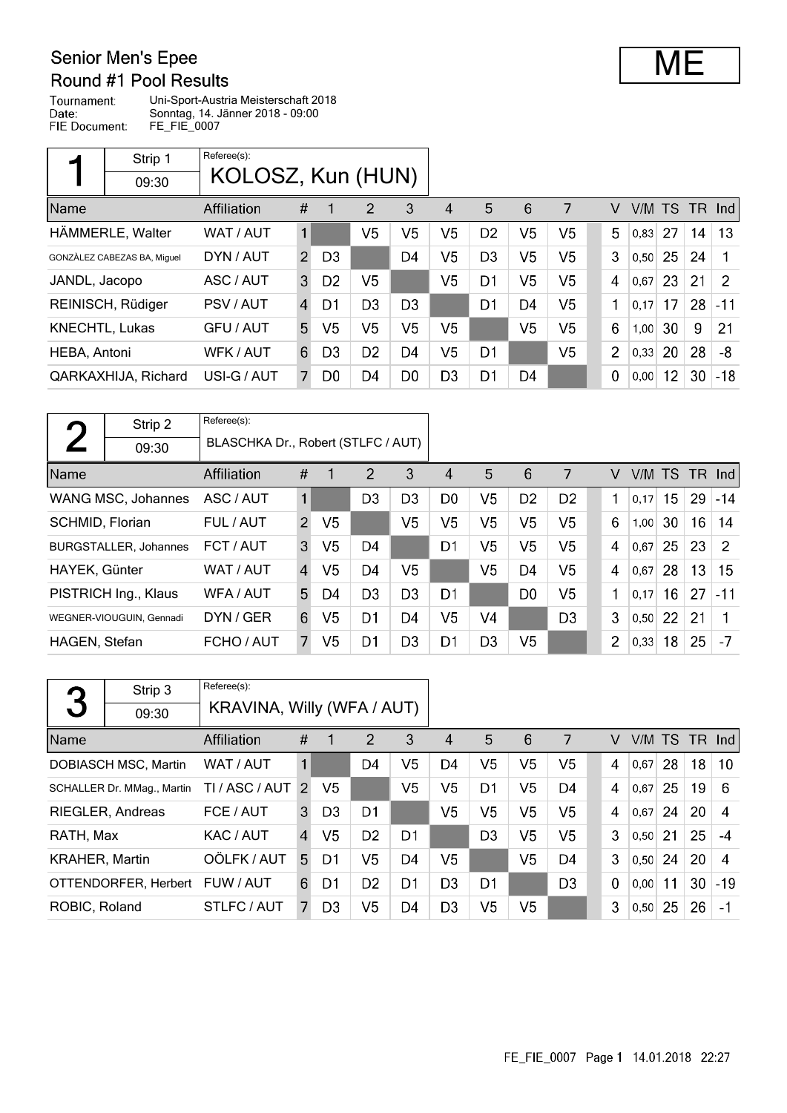## **Senior Men's Epee**

### Round #1 Pool Results

Tournament: Uni-Sport-Austria Meisterschaft 2018 Date: Sonntag, 14. Jänner 2018 - 09:00 FIE Document: FE\_FIE\_0007

|                | Strip 1                     | Referee(s):       |               |                |                |                |                |                |                |                |                |        |    |     |               |
|----------------|-----------------------------|-------------------|---------------|----------------|----------------|----------------|----------------|----------------|----------------|----------------|----------------|--------|----|-----|---------------|
|                | 09:30                       | KOLOSZ, Kun (HUN) |               |                |                |                |                |                |                |                |                |        |    |     |               |
| Name           |                             | Affiliation       | #             |                | 2              | 3              | 4              | 5              | 6              | 7              | V              | V/M TS |    | TR. | Ind           |
|                | HÄMMERLE, Walter            | WAT / AUT         | $\mathbf{1}$  |                | V5             | V5             | V <sub>5</sub> | D <sub>2</sub> | V <sub>5</sub> | V <sub>5</sub> | 5              | 0,83   | 27 | 14  | 13            |
|                | GONZÀLEZ CABEZAS BA, Miquel | DYN / AUT         | $\mathcal{P}$ | D <sub>3</sub> |                | D4             | V5             | D <sub>3</sub> | V <sub>5</sub> | V <sub>5</sub> | 3              | 0,50   | 25 | 24  |               |
| JANDL, Jacopo  |                             | ASC / AUT         | 3             | D <sub>2</sub> | V5             |                | V5             | D <sub>1</sub> | V5             | V5             | 4              | 0,67   | 23 | 21  | $\mathcal{P}$ |
|                | REINISCH, Rüdiger           | PSV / AUT         | 4             | D1             | D <sub>3</sub> | D <sub>3</sub> |                | D <sub>1</sub> | D <sub>4</sub> | V <sub>5</sub> | 1              | 0.17   | 17 | 28  | $-11$         |
| KNECHTL, Lukas |                             | GFU / AUT         | 5             | V <sub>5</sub> | V5             | V <sub>5</sub> | V5.            |                | V <sub>5</sub> | V <sub>5</sub> | 6              | 1,00   | 30 | 9   | 21            |
| HEBA, Antoni   |                             | WFK / AUT         | 6             | D3             | D <sub>2</sub> | D <sub>4</sub> | V <sub>5</sub> | D <sub>1</sub> |                | V <sub>5</sub> | $\overline{2}$ | 0,33   | 20 | 28  | -8            |
|                | QARKAXHIJA, Richard         | USI-G / AUT       |               | D <sub>0</sub> | D4             | D <sub>0</sub> | D <sub>3</sub> | D <sub>1</sub> | D4             |                | 0              | 0,00   | 12 | 30  | $-18$         |

|                 | Strip 2                      | Referee(s):                        |                |                |                |                |                |                |                |                |                |        |                 |                 |              |
|-----------------|------------------------------|------------------------------------|----------------|----------------|----------------|----------------|----------------|----------------|----------------|----------------|----------------|--------|-----------------|-----------------|--------------|
|                 | 09:30                        | BLASCHKA Dr., Robert (STLFC / AUT) |                |                |                |                |                |                |                |                |                |        |                 |                 |              |
| <b>Name</b>     |                              | Affiliation                        | #              |                | $\mathcal{P}$  | 3              | 4              | 5              | 6              | 7              | V              | V/M TS |                 | <b>TR</b>       | <b>Ind</b>   |
|                 | WANG MSC, Johannes           | ASC / AUT                          | $\mathbf{1}$   |                | D <sub>3</sub> | D <sub>3</sub> | D <sub>0</sub> | V <sub>5</sub> | D <sub>2</sub> | D <sub>2</sub> |                | 0.17   | 15              | 29              | $-14$        |
| SCHMID, Florian |                              | FUL / AUT                          | $\overline{2}$ | V <sub>5</sub> |                | V <sub>5</sub> | V <sub>5</sub> | V <sub>5</sub> | V <sub>5</sub> | V <sub>5</sub> | 6              | 1,00   | 30              | 16 <sup>°</sup> | 14           |
|                 | <b>BURGSTALLER, Johannes</b> | FCT / AUT                          | 3              | V <sub>5</sub> | D <sub>4</sub> |                | D1             | V <sub>5</sub> | V <sub>5</sub> | V <sub>5</sub> | 4              | 0,67   | 25              | 23              | <sup>2</sup> |
| HAYEK, Günter   |                              | WAT / AUT                          | $\overline{4}$ | V5             | D <sub>4</sub> | V5             |                | V <sub>5</sub> | D <sub>4</sub> | V <sub>5</sub> | 4              | 0,67   | 28              | 13              | 15           |
|                 | PISTRICH Ing., Klaus         | WFA / AUT                          | 5.             | D4             | D <sub>3</sub> | D <sub>3</sub> | D <sub>1</sub> |                | D <sub>0</sub> | V <sub>5</sub> | 1              | 0.17   | 16 <sup>1</sup> | 27              | $-11$        |
|                 | WEGNER-VIOUGUIN, Gennadi     | DYN / GER                          | 6              | V <sub>5</sub> | D1             | D4             | V <sub>5</sub> | V <sub>4</sub> |                | D <sub>3</sub> | 3              | 0,50   | 22              | 21              |              |
| HAGEN, Stefan   |                              | FCHO / AUT                         | 7              | V <sub>5</sub> | D1             | D <sub>3</sub> | D1             | D <sub>3</sub> | V <sub>5</sub> |                | $\overline{2}$ | 0,33   | 18              | 25              | $-7$         |

|                       | Strip 3                              | Referee(s):                |                |                |                |                |                |                |                |                |          |        |    |    |        |
|-----------------------|--------------------------------------|----------------------------|----------------|----------------|----------------|----------------|----------------|----------------|----------------|----------------|----------|--------|----|----|--------|
| 3                     | 09:30                                | KRAVINA, Willy (WFA / AUT) |                |                |                |                |                |                |                |                |          |        |    |    |        |
| Name                  |                                      | <b>Affiliation</b>         | #              |                | 2              | 3              | 4              | 5              | 6              | 7              | V        | V/M TS |    |    | TR Ind |
|                       | <b>DOBIASCH MSC. Martin</b>          | WAT / AUT                  |                |                | D4             | V5             | D4             | V5             | V <sub>5</sub> | V <sub>5</sub> | 4        | 0,67   | 28 | 18 | 10     |
|                       | SCHALLER Dr. MMag., Martin           | TI / ASC / AUT             | $\mathcal{P}$  | V <sub>5</sub> |                | V <sub>5</sub> | V5             | D1             | V <sub>5</sub> | D <sub>4</sub> | 4        | 0,67   | 25 | 19 | 6      |
|                       | <b>RIEGLER, Andreas</b><br>FCE / AUT |                            | 3              | D <sub>3</sub> | D <sub>1</sub> |                | V5             | V5             | V <sub>5</sub> | V5             | 4        | 0.67   | 24 | 20 | 4      |
| RATH, Max             |                                      | KAC / AUT                  | $\overline{4}$ | V <sub>5</sub> | D <sub>2</sub> | D1             |                | D <sub>3</sub> | V5             | V <sub>5</sub> | 3        | 0.50   | 21 | 25 | $-4$   |
| <b>KRAHER, Martin</b> |                                      | OÖLFK / AUT                | 5.             | D1             | V5             | D4             | V <sub>5</sub> |                | V <sub>5</sub> | D4             | 3        | 0,50   | 24 | 20 | 4      |
|                       | OTTENDORFER, Herbert                 | FUW / AUT                  | 6              | D1             | D <sub>2</sub> | D1             | D <sub>3</sub> | D1             |                | D <sub>3</sub> | $\Omega$ | 0,00   | 11 | 30 | $-19$  |
| ROBIC, Roland         |                                      | STLFC / AUT                | 7              | D <sub>3</sub> | V5             | D4             | D <sub>3</sub> | V5             | V <sub>5</sub> |                | 3        | 0,50   | 25 | 26 | $-1$   |

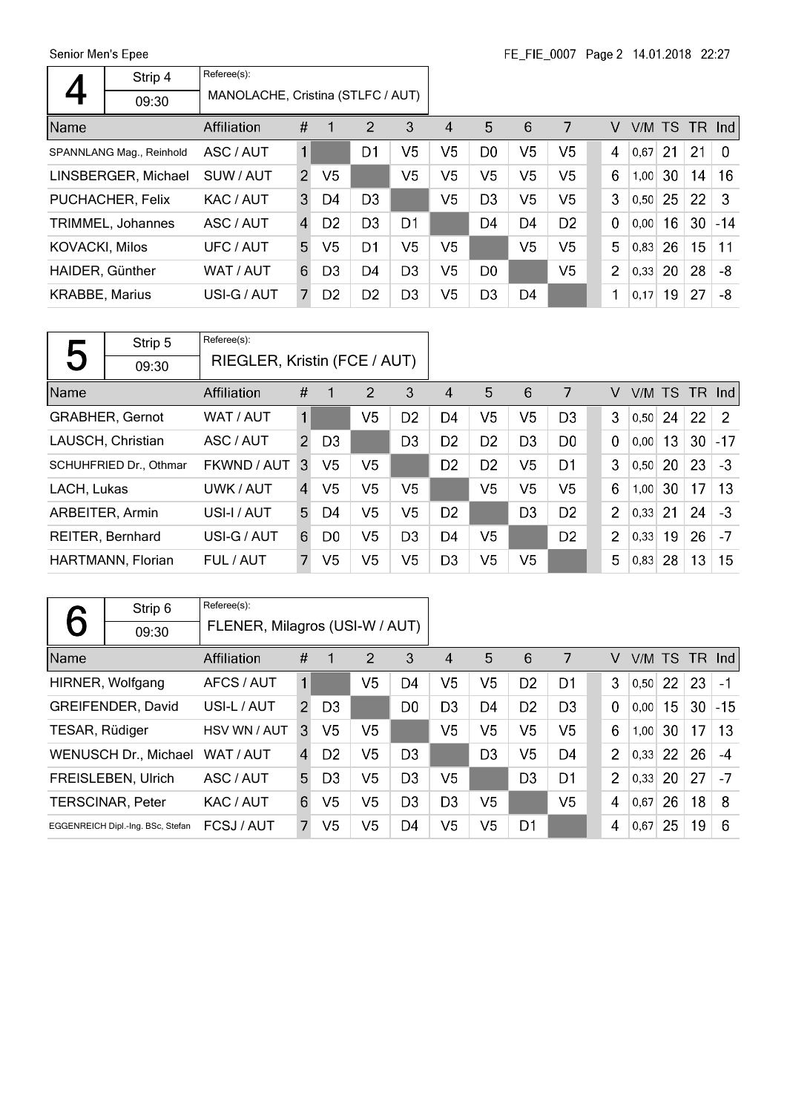Senior Men's Epee  $\overline{\phantom{a}}$ 

 $\mathsf{r}$ 

|                       | Strip 4                  | Referee(s):<br>MANOLACHE, Cristina (STLFC / AUT) |                |                |                |                |    |                |                |                |                |             |    |        |          |
|-----------------------|--------------------------|--------------------------------------------------|----------------|----------------|----------------|----------------|----|----------------|----------------|----------------|----------------|-------------|----|--------|----------|
|                       | 09:30                    |                                                  |                |                |                |                |    |                |                |                |                |             |    |        |          |
| Name                  |                          | Affiliation                                      | #              | $\overline{1}$ | 2              | 3              | 4  | 5              | 6              | 7              | V              | V/M TS      |    | TR Ind |          |
|                       | SPANNLANG Mag., Reinhold | ASC / AUT                                        | 1              |                | D1             | V5             | V5 | D <sub>0</sub> | V <sub>5</sub> | V5             | 4              | $ 0,67 $ 21 |    | 21     | $\Omega$ |
|                       | LINSBERGER, Michael      | SUW / AUT                                        | $\mathcal{P}$  | V5             |                | V5             | V5 | V5             | V <sub>5</sub> | V <sub>5</sub> | 6              | 1,00        | 30 | 14     | 16       |
|                       | PUCHACHER, Felix         | KAC / AUT                                        | 3              | D4             | D <sub>3</sub> |                | V5 | D <sub>3</sub> | V <sub>5</sub> | V <sub>5</sub> | 3              | 0.50        | 25 | 22     | 3        |
|                       | TRIMMEL, Johannes        | ASC / AUT                                        | $\overline{A}$ | D <sub>2</sub> | D <sub>3</sub> | D1             |    | D4             | D4             | D <sub>2</sub> | 0              | 0.00        | 16 | 30     | $-14$    |
| <b>KOVACKI, Milos</b> |                          | UFC / AUT                                        | 5              | V5             | D1             | V5             | V5 |                | V <sub>5</sub> | V <sub>5</sub> | 5              | 0.83        | 26 | 15     | 11       |
| HAIDER, Günther       |                          | WAT / AUT                                        | 6              | D <sub>3</sub> | D4             | D <sub>3</sub> | V5 | D <sub>0</sub> |                | V5             | $\overline{2}$ | 0.33        | 20 | 28     | -8       |
| <b>KRABBE, Marius</b> |                          | USI-G / AUT                                      | 7              | D <sub>2</sub> | D <sub>2</sub> | D <sub>3</sub> | V5 | D <sub>3</sub> | D4             |                | 1              | 0,17        | 19 | 27     | -8       |

| Д                        | Strip 5                        | Referee(s):                  |   |                |                |                |                |                |                |                |                |        |    |        |               |
|--------------------------|--------------------------------|------------------------------|---|----------------|----------------|----------------|----------------|----------------|----------------|----------------|----------------|--------|----|--------|---------------|
| $\overline{\phantom{0}}$ | 09:30                          | RIEGLER, Kristin (FCE / AUT) |   |                |                |                |                |                |                |                |                |        |    |        |               |
| Name                     |                                | Affiliation                  | # | 1              | 2              | 3              | 4              | 5              | 6              | 7              | V              | V/M TS |    | TR Ind |               |
|                          | <b>GRABHER, Gernot</b>         | WAT / AUT                    | 1 |                | V <sub>5</sub> | D <sub>2</sub> | D4             | V5             | V <sub>5</sub> | D <sub>3</sub> | 3              | 0,50   | 24 | 22     | $\mathcal{P}$ |
|                          | LAUSCH, Christian<br>ASC / AUT |                              |   | D <sub>3</sub> |                | D <sub>3</sub> | D <sub>2</sub> | D <sub>2</sub> | D <sub>3</sub> | D <sub>0</sub> | $\mathbf 0$    | 0,00   | 13 | 30     | $-17$         |
|                          | SCHUHFRIED Dr., Othmar         | FKWND / AUT                  | 3 | V5             | V5             |                | D <sub>2</sub> | D <sub>2</sub> | V <sub>5</sub> | D <sub>1</sub> | 3              | 0, 50  | 20 | 23     | $-3$          |
| LACH, Lukas              |                                | UWK / AUT                    | 4 | V5             | V <sub>5</sub> | V5             |                | V <sub>5</sub> | V <sub>5</sub> | V <sub>5</sub> | 6              | 1,00   | 30 | 17     | 13            |
| ARBEITER, Armin          |                                | USI-I / AUT                  | 5 | D4             | V5             | V5             | D <sub>2</sub> |                | D <sub>3</sub> | D <sub>2</sub> | $\overline{2}$ | 0,33   | 21 | 24     | $-3$          |
|                          | <b>REITER, Bernhard</b>        | USI-G / AUT                  | 6 | D <sub>0</sub> | V5             | D <sub>3</sub> | D <sub>4</sub> | V5             |                | D <sub>2</sub> | $\overline{2}$ | 0,33   | 19 | 26     | $-7$          |
|                          | HARTMANN, Florian              | FUL / AUT                    | 7 | V5             | V5             | V <sub>5</sub> | D <sub>3</sub> | V5             | V <sub>5</sub> |                | 5              | 0,83   | 28 | 13     | 15            |

|                | Strip 6                           | Referee(s):                    |               |                |                |                |                |                |                 |                |                |      |    |               |       |
|----------------|-----------------------------------|--------------------------------|---------------|----------------|----------------|----------------|----------------|----------------|-----------------|----------------|----------------|------|----|---------------|-------|
|                | 09:30                             | FLENER, Milagros (USI-W / AUT) |               |                |                |                |                |                |                 |                |                |      |    |               |       |
| Name           |                                   | <b>Affiliation</b>             | #             |                | 2              | 3              | 4              | 5              | $6\phantom{1}6$ | 7              | v              |      |    | V/M TS TR Ind |       |
|                | HIRNER, Wolfgang                  | AFCS / AUT                     | $\mathbf 1$   |                | V <sub>5</sub> | D4             | V <sub>5</sub> | V <sub>5</sub> | D <sub>2</sub>  | D <sub>1</sub> | 3              | 0,50 | 22 | 23            | $-1$  |
|                | GREIFENDER, David                 | USI-L / AUT                    | $\mathcal{P}$ | D <sub>3</sub> |                | D0             | D <sub>3</sub> | D4             | D <sub>2</sub>  | D <sub>3</sub> | $\overline{0}$ | 0,00 | 15 | 30            | $-15$ |
| TESAR, Rüdiger |                                   | HSV WN / AUT                   | 3             | V5             | V5             |                | V <sub>5</sub> | V <sub>5</sub> | V <sub>5</sub>  | V <sub>5</sub> | 6              | 1,00 | 30 | 17            | 13    |
|                | <b>WENUSCH Dr., Michael</b>       | WAT / AUT                      | 4             | D <sub>2</sub> | V <sub>5</sub> | D <sub>3</sub> |                | D <sub>3</sub> | V <sub>5</sub>  | D4             | $\overline{2}$ | 0,33 | 22 | 26            | -4    |
|                | <b>FREISLEBEN, Ulrich</b>         | ASC / AUT                      | 5.            | D <sub>3</sub> | V5             | D <sub>3</sub> | V5             |                | D <sub>3</sub>  | D <sub>1</sub> | $\overline{2}$ | 0,33 | 20 | 27            | $-7$  |
|                | <b>TERSCINAR, Peter</b>           | KAC / AUT                      | 6             | V5             | V5             | D <sub>3</sub> | D <sub>3</sub> | V5             |                 | V <sub>5</sub> | 4              | 0,67 | 26 | 18            | 8     |
|                | EGGENREICH Dipl.-Ing. BSc, Stefan | FCSJ/AUT                       | 7             | V5             | V <sub>5</sub> | D4             | V <sub>5</sub> | V <sub>5</sub> | D <sub>1</sub>  |                | 4              | 0,67 | 25 | 19            | 6     |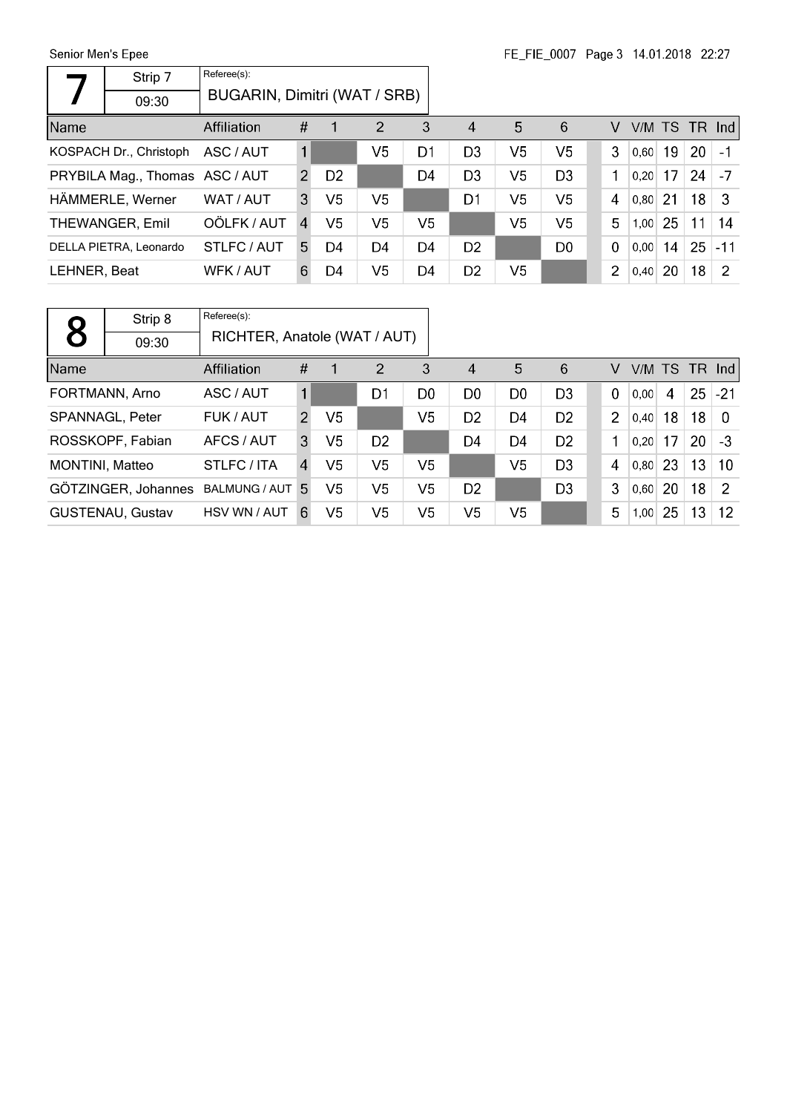Senior Men's Epee

| Senior Men's Epee              |                        |                              |                |                |                |                |                        |                | FE FIE 000/ Page 3 14.01.2018 22:27 |                |      |    |                 |                  |
|--------------------------------|------------------------|------------------------------|----------------|----------------|----------------|----------------|------------------------|----------------|-------------------------------------|----------------|------|----|-----------------|------------------|
|                                | Strip 7                | Referee(s):                  |                |                |                |                |                        |                |                                     |                |      |    |                 |                  |
|                                | 09:30                  | BUGARIN, Dimitri (WAT / SRB) |                |                |                |                |                        |                |                                     |                |      |    |                 |                  |
| Name                           |                        | Affiliation                  | #              |                | $\overline{2}$ | 3              | $\boldsymbol{\Lambda}$ | 5              | 6                                   | V              |      |    | $V/M$ TS TR Ind |                  |
|                                | KOSPACH Dr., Christoph | ASC / AUT                    | 1              |                | V <sub>5</sub> | D <sub>1</sub> | D <sub>3</sub>         | V5             | V <sub>5</sub>                      | 3              | 0,60 | 19 | 20              | $\vert -1 \vert$ |
| PRYBILA Mag., Thomas ASC / AUT |                        |                              | $\overline{2}$ | D <sub>2</sub> |                | D4             | D <sub>3</sub>         | V <sub>5</sub> | D <sub>3</sub>                      | 1              | 0,20 | 17 | 24              | $\vert$ -7       |
|                                | HÄMMERLE, Werner       | WAT / AUT                    | 3              | V5             | V <sub>5</sub> |                | D <sub>1</sub>         | V5             | V <sub>5</sub>                      | 4              | 0,80 | 21 | 18 <sup>°</sup> | -3               |
|                                | THEWANGER, Emil        | OÖLFK / AUT                  | $\mathbf{A}$   | V5             | V5             | V5             |                        | V5             | V <sub>5</sub>                      | 5              | 1,00 | 25 | 11              | 14               |
|                                | DELLA PIETRA, Leonardo | STLFC/AUT                    | 5.             | D4             | D4             | D4             | D <sub>2</sub>         |                | D <sub>0</sub>                      | $\mathbf 0$    | 0,00 | 14 | 25              | $ -11$           |
| LEHNER, Beat                   |                        | WFK / AUT                    | 6              | D4             | V5             | D4             | D <sub>2</sub>         | V <sub>5</sub> |                                     | $\overline{2}$ | 0,40 | 20 | 18              | -2               |

|                        | Strip 8                 | Referee(s):                  |                |                |                |                |                        |                |                |                |        |    |    |               |
|------------------------|-------------------------|------------------------------|----------------|----------------|----------------|----------------|------------------------|----------------|----------------|----------------|--------|----|----|---------------|
| 8                      | 09:30                   | RICHTER, Anatole (WAT / AUT) |                |                |                |                |                        |                |                |                |        |    |    |               |
| Name                   |                         | Affiliation                  | #              |                | $\overline{2}$ | 3              | $\boldsymbol{\Lambda}$ | 5              | 6              | V              | V/M TS |    |    | TR Ind        |
|                        | FORTMANN, Arno          | ASC / AUT                    |                |                | D <sub>1</sub> | D <sub>0</sub> | D <sub>0</sub>         | D <sub>0</sub> | D <sub>3</sub> | $\overline{0}$ | 0,00   | 4  | 25 | $-21$         |
|                        | SPANNAGL, Peter         | FUK / AUT                    | $\mathcal{P}$  | V <sub>5</sub> |                | V <sub>5</sub> | D <sub>2</sub>         | D4             | D <sub>2</sub> | $\overline{2}$ | 0,40   | 18 | 18 | $\Omega$      |
|                        | ROSSKOPF, Fabian        | AFCS / AUT                   | 3              | V <sub>5</sub> | D <sub>2</sub> |                | D4                     | D4             | D <sub>2</sub> | 1              | 0.20   | 17 | 20 | $-3$          |
| <b>MONTINI, Matteo</b> |                         | STLFC / ITA                  | $\overline{4}$ | V5             | V5             | V5             |                        | V <sub>5</sub> | D <sub>3</sub> | 4              | 0.80   | 23 | 13 | 10            |
|                        | GÖTZINGER, Johannes     | <b>BALMUNG / AUT</b>         | 5.             | V <sub>5</sub> | V <sub>5</sub> | V5             | D <sub>2</sub>         |                | D <sub>3</sub> | 3              | 0,60   | 20 | 18 | $\mathcal{P}$ |
|                        | <b>GUSTENAU, Gustav</b> | HSV WN / AUT                 | 6.             | V5             | V <sub>5</sub> | V5             | V <sub>5</sub>         | V5             |                | 5              | 1,00   | 25 | 13 | 12            |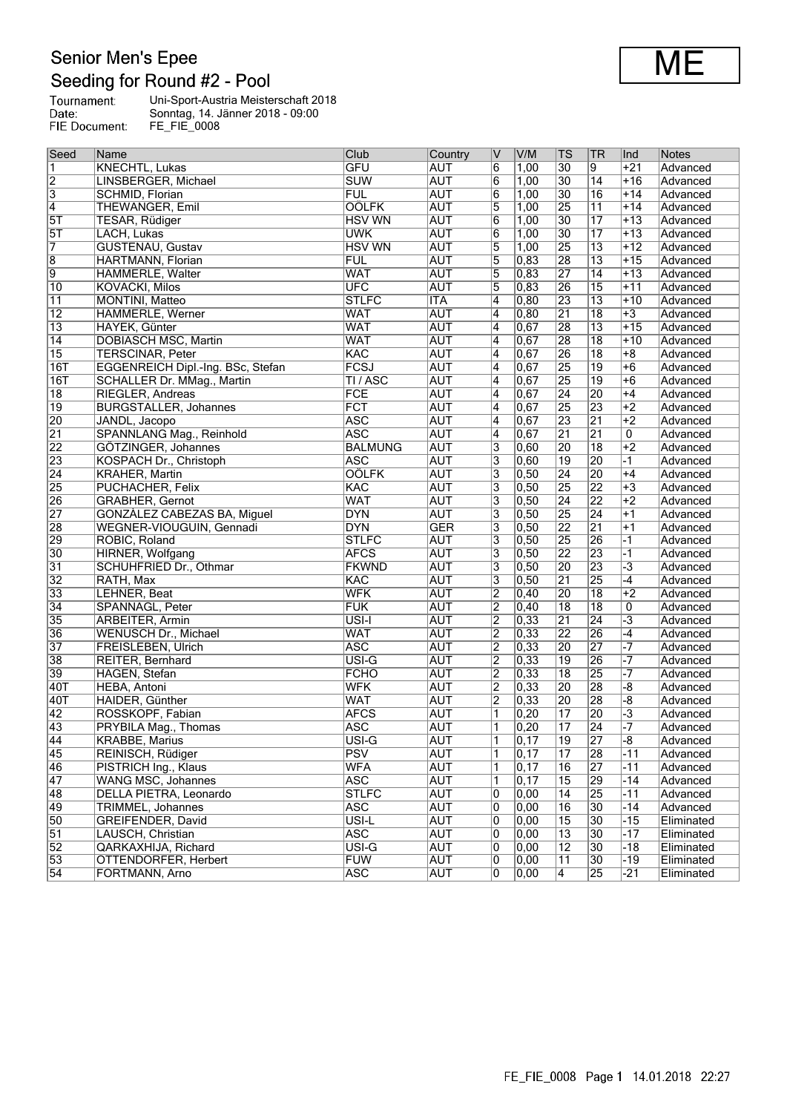#### **Senior Men's Epee** Seeding for Round #2 - Pool

|               | <b>Production</b> in the mean of the state of the state of the state of the state of the state of the state of the state of the state of the state of the state of the state of the state of the state of the state of the state of |
|---------------|-------------------------------------------------------------------------------------------------------------------------------------------------------------------------------------------------------------------------------------|
| Tournament:   | Uni-Sport-Austria Meisterschaft 2018                                                                                                                                                                                                |
| Date:         | Sonntag, 14. Jänner 2018 - 09:00                                                                                                                                                                                                    |
| FIE Document: | FE FIE 0008                                                                                                                                                                                                                         |

| Seed                      | Name                              | Club               | Country    | $\overline{\mathtt{V}}$ | V/M               | $\overline{\text{TS}}$ | <b>TR</b>       | Ind                     | Notes      |
|---------------------------|-----------------------------------|--------------------|------------|-------------------------|-------------------|------------------------|-----------------|-------------------------|------------|
| $\overline{1}$            | <b>KNECHTL, Lukas</b>             | <b>GFU</b>         | <b>AUT</b> | $\overline{6}$          | 1,00              | 30                     | $\overline{9}$  | $+21$                   | Advanced   |
| $\overline{2}$            | LINSBERGER, Michael               | <b>SUW</b>         | <b>AUT</b> | 6                       | 1,00              | $\overline{30}$        | 14              | $+16$                   | Advanced   |
| $\overline{\overline{3}}$ | SCHMID, Florian                   | <b>FUL</b>         | <b>AUT</b> | 6                       | 1,00              | $\overline{30}$        | $\overline{16}$ | $+14$                   | Advanced   |
| $\overline{4}$            | <b>THEWANGER, Emil</b>            | <b>OÖLFK</b>       | <b>AUT</b> | $\overline{5}$          | 1,00              | $\overline{25}$        | $\overline{11}$ | $+14$                   | Advanced   |
| 5T                        | TESAR, Rüdiger                    | <b>HSV WN</b>      | <b>AUT</b> | 6                       | 1,00              | $\overline{30}$        | $\overline{17}$ | $+13$                   | Advanced   |
| $\overline{5T}$           | LACH, Lukas                       | <b>UWK</b>         | <b>AUT</b> | 6                       | 1,00              | $\overline{30}$        | $\overline{17}$ | $+13$                   | Advanced   |
| 7                         | <b>GUSTENAU, Gustav</b>           | <b>HSV WN</b>      | <b>AUT</b> | $\overline{5}$          | 1,00              | $\overline{25}$        | $\overline{13}$ | $+12$                   | Advanced   |
| $\overline{8}$            | HARTMANN, Florian                 | <b>FUL</b>         | <b>AUT</b> | 5                       | 0,83              | 28                     | $\overline{13}$ | $+15$                   | Advanced   |
| $\overline{9}$            | HÄMMERLE, Walter                  | <b>WAT</b>         | <b>AUT</b> | 5                       | 0,83              | 27                     | $\overline{14}$ | $\overline{+13}$        | Advanced   |
| $\overline{10}$           | <b>KOVACKI, Milos</b>             | <b>UFC</b>         | <b>AUT</b> | 5                       | 0,83              | 26                     | $\overline{15}$ | $+11$                   | Advanced   |
| $\overline{11}$           | MONTINI, Matteo                   | <b>STLFC</b>       | <b>ITA</b> | $\overline{4}$          | 0,80              | 23                     | $\overline{13}$ | $+10$                   | Advanced   |
| $\overline{12}$           | HÄMMERLE, Werner                  | <b>WAT</b>         | <b>AUT</b> | $\overline{4}$          | 0, 80             | $\overline{21}$        | $\overline{18}$ | $+3$                    | Advanced   |
| $\overline{13}$           | HAYEK, Günter                     | <b>WAT</b>         | <b>AUT</b> | 4                       | 0,67              | 28                     | $\overline{13}$ | $+15$                   | Advanced   |
| $\overline{14}$           | <b>DOBIASCH MSC, Martin</b>       | <b>WAT</b>         | <b>AUT</b> | 4                       | 0,67              | 28                     | $\overline{18}$ | $+10$                   | Advanced   |
| $\overline{15}$           | <b>TERSCINAR, Peter</b>           | <b>KAC</b>         | AUT        | 4                       | 0,67              | $\overline{26}$        | $\overline{18}$ | $\overline{+8}$         | Advanced   |
| 16T                       | EGGENREICH Dipl.-Ing. BSc, Stefan | <b>FCSJ</b>        | <b>AUT</b> | 4                       | 0,67              | 25                     | $\overline{19}$ | $\overline{+6}$         | Advanced   |
| 16T                       | SCHALLER Dr. MMag., Martin        | TI / ASC           | <b>AUT</b> | $\overline{4}$          | 0,67              | $\overline{25}$        | 19              | $+6$                    | Advanced   |
| $\overline{18}$           | RIEGLER, Andreas                  | <b>FCE</b>         | <b>AUT</b> | 4                       | 0,67              | $\overline{24}$        | 20              | $+4$                    | Advanced   |
| $\overline{19}$           | <b>BURGSTALLER, Johannes</b>      | <b>FCT</b>         | <b>AUT</b> | 4                       | $\overline{0,67}$ | 25                     | 23              | $+2$                    | Advanced   |
| 20                        | JANDL, Jacopo                     | <b>ASC</b>         | <b>AUT</b> | 4                       | 0,67              | 23                     | $\overline{21}$ | $+2$                    | Advanced   |
| $\overline{21}$           | SPANNLANG Mag., Reinhold          | <b>ASC</b>         | <b>AUT</b> | $\overline{4}$          | 0,67              | $\overline{21}$        | $\overline{21}$ | 0                       | Advanced   |
| 22                        | GÖTZINGER, Johannes               | <b>BALMUNG</b>     | <b>AUT</b> | $\overline{3}$          | 0,60              | $\overline{20}$        | $\overline{18}$ | $+2$                    | Advanced   |
| 23                        | KOSPACH Dr., Christoph            | <b>ASC</b>         | <b>AUT</b> | 3                       | 0,60              | $\overline{19}$        | 20              | $-1$                    | Advanced   |
| $\overline{24}$           | <b>KRAHER, Martin</b>             | <b>OÖLFK</b>       | <b>AUT</b> | 3                       | 0,50              | $\overline{24}$        | 20              | $+4$                    | Advanced   |
| 25                        | PUCHACHER, Felix                  | KAC                | <b>AUT</b> | 3                       | 0, 50             | $\overline{25}$        | 22              | $+3$                    | Advanced   |
| 26                        | <b>GRABHER, Gernot</b>            | <b>WAT</b>         | <b>AUT</b> | $\overline{3}$          | $\overline{0,50}$ | $\overline{24}$        | 22              | $+2$                    | Advanced   |
| $\overline{27}$           | GONZÀLEZ CABEZAS BA, Miguel       | <b>DYN</b>         | <b>AUT</b> | 3                       | 0,50              | 25                     | 24              | $+1$                    | Advanced   |
| 28                        | WEGNER-VIOUGUIN, Gennadi          | <b>DYN</b>         | <b>GER</b> | 3                       | 0,50              | $\overline{22}$        | $\overline{21}$ | $+1$                    | Advanced   |
| 29                        | ROBIC, Roland                     | <b>STLFC</b>       | <b>AUT</b> | $\overline{3}$          | 0,50              | $\overline{25}$        | 26              | $\overline{-1}$         | Advanced   |
| $\overline{30}$           | HIRNER, Wolfgang                  | <b>AFCS</b>        | <b>AUT</b> | 3                       | 0,50              | 22                     | 23              | $\overline{1}$          | Advanced   |
| $\overline{31}$           | SCHUHFRIED Dr., Othmar            | <b>FKWND</b>       | <b>AUT</b> | 3                       | 0, 50             | 20                     | 23              | $\overline{-3}$         | Advanced   |
| $\overline{32}$           | RATH, Max                         | <b>KAC</b>         | <b>AUT</b> | 3                       | 0,50              | $\overline{21}$        | 25              | $-4$                    | Advanced   |
| $\overline{33}$           | LEHNER, Beat                      | <b>WFK</b>         | <b>AUT</b> | $\overline{2}$          | 0,40              | 20                     | $\overline{18}$ | $+2$                    | Advanced   |
| $\overline{34}$           | SPANNAGL, Peter                   | <b>FUK</b>         | <b>AUT</b> | $\overline{2}$          | 0,40              | $\overline{18}$        | $\overline{18}$ | 0                       | Advanced   |
| 35                        | <b>ARBEITER, Armin</b>            | $\overline{USI-I}$ | <b>AUT</b> | $\overline{2}$          | $\overline{0,33}$ | $\overline{21}$        | $\overline{24}$ | $\overline{\cdot 3}$    | Advanced   |
| 36                        | <b>WENUSCH Dr., Michael</b>       | <b>WAT</b>         | <b>AUT</b> | $\overline{2}$          | $\overline{0,33}$ | $\overline{22}$        | 26              | $-4$                    | Advanced   |
| $\overline{37}$           | FREISLEBEN, Ulrich                | <b>ASC</b>         | <b>AUT</b> | $\overline{2}$          | 0,33              | $\overline{20}$        | 27              | $\overline{\mathbf{z}}$ | Advanced   |
| $\overline{38}$           | REITER, Bernhard                  | $\overline{USI-G}$ | <b>AUT</b> | $\overline{2}$          | 0,33              | $\overline{19}$        | 26              | $\overline{-7}$         | Advanced   |
| 39                        | HAGEN, Stefan                     | <b>FCHO</b>        | <b>AUT</b> | $\overline{2}$          | 0,33              | $\overline{18}$        | 25              | $\overline{-7}$         | Advanced   |
| 40T                       | <b>HEBA, Antoni</b>               | <b>WFK</b>         | <b>AUT</b> | $\overline{2}$          | $\overline{0,33}$ | $\overline{20}$        | 28              | -8                      | Advanced   |
| 40T                       | HAIDER, Günther                   | <b>WAT</b>         | <b>AUT</b> | $\overline{2}$          | $\overline{0,33}$ | 20                     | 28              | -8                      | Advanced   |
| $\overline{42}$           | ROSSKOPF, Fabian                  | <b>AFCS</b>        | <b>AUT</b> | 1                       | 0,20              | $\overline{17}$        | 20              | $\overline{\cdot 3}$    | Advanced   |
| 43                        | PRYBILA Mag., Thomas              | <b>ASC</b>         | <b>AUT</b> | 1                       | 0,20              | $\overline{17}$        | $\overline{24}$ | $-7$                    | Advanced   |
| $\overline{44}$           | <b>KRABBE, Marius</b>             | USI-G              | <b>AUT</b> | $\overline{\mathbf{1}}$ | $\overline{0,17}$ | $\overline{19}$        | $\overline{27}$ | $\overline{-8}$         | Advanced   |
| 45                        | REINISCH, Rüdiger                 | <b>PSV</b>         | <b>AUT</b> | 1                       | 0,17              | $\overline{17}$        | 28              | $-11$                   | Advanced   |
| 46                        | PISTRICH Ing., Klaus              | <b>WFA</b>         | <b>AUT</b> | 1                       | $\overline{0,17}$ | 16                     | $\overline{27}$ | $-11$                   | Advanced   |
| 47                        | <b>WANG MSC, Johannes</b>         | <b>ASC</b>         | <b>AUT</b> | $\vert$ 1               | $\overline{0,17}$ | $\overline{15}$        | 29              | $-14$                   | Advanced   |
| 48                        | DELLA PIETRA, Leonardo            | <b>STLFC</b>       | <b>AUT</b> | 10                      | 0,00              | 14                     | 25              | $-11$                   | Advanced   |
| 49                        | TRIMMEL, Johannes                 | <b>ASC</b>         | <b>AUT</b> | 0                       | 0,00              | 16                     | $\overline{30}$ | $-14$                   | Advanced   |
| $\overline{50}$           | GREIFENDER, David                 | USI-L              | <b>AUT</b> | 10                      | 0,00              | $\overline{15}$        | $\overline{30}$ | $-15$                   | Eliminated |
| $\overline{51}$           | LAUSCH, Christian                 | <b>ASC</b>         | <b>AUT</b> | 0                       | 0,00              | $\overline{13}$        | $\overline{30}$ | $-17$                   | Eliminated |
| 52                        | QARKAXHIJA, Richard               | $\overline{USI-G}$ | <b>AUT</b> | 10                      | 0,00              | $\overline{12}$        | $\overline{30}$ | $-18$                   | Eliminated |
| 53                        | OTTENDORFER, Herbert              | <b>FUW</b>         | <b>AUT</b> | 10                      | 0,00              | $\overline{11}$        | $\overline{30}$ | $-19$                   | Eliminated |
| $\overline{54}$           | FORTMANN, Arno                    | <b>ASC</b>         | <b>AUT</b> | 10                      | 0,00              | 4                      | 25              | $-21$                   | Eliminated |
|                           |                                   |                    |            |                         |                   |                        |                 |                         |            |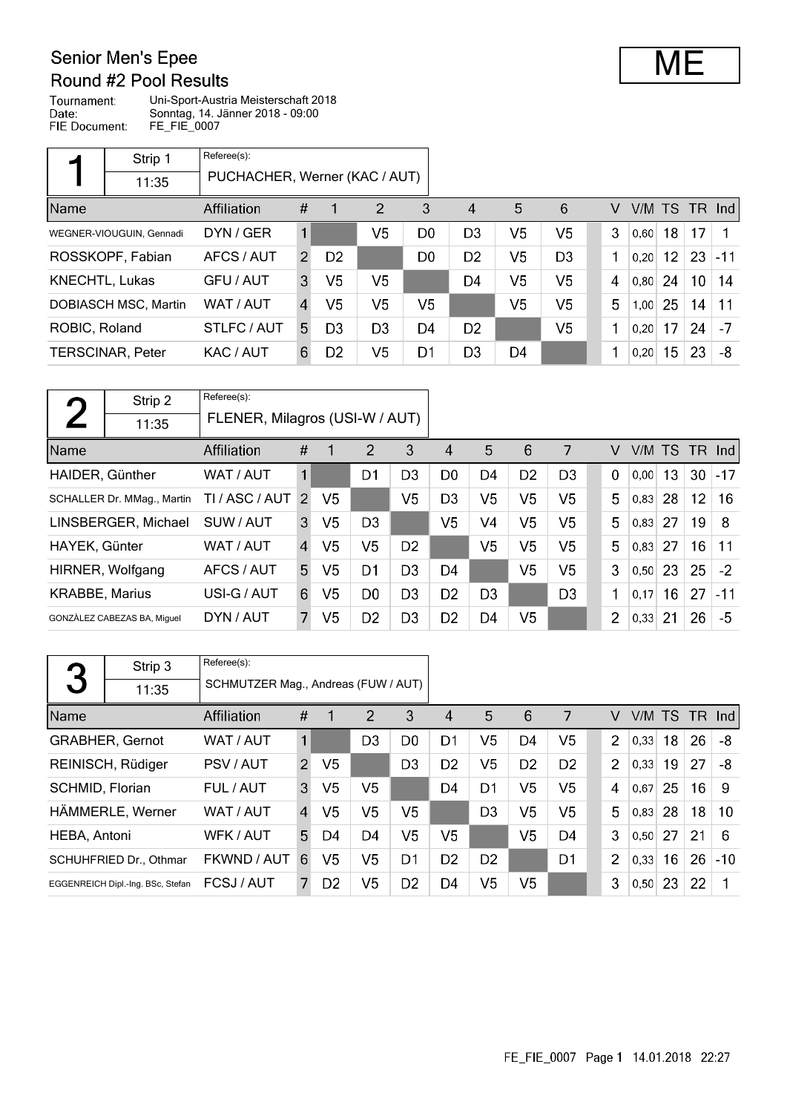### **Senior Men's Epee** Round #2 Pool Results

Tournament: Uni-Sport-Austria Meisterschaft 2018 Todifiament:<br>Date:<br>FIE Document: Sonntag, 14. Jänner 2018 - 09:00 FE\_FIE\_0007

|                       | Strip 1                  | Referee(s):                   |                |                |                |                |                        |                |                |   |      |    |                 |           |
|-----------------------|--------------------------|-------------------------------|----------------|----------------|----------------|----------------|------------------------|----------------|----------------|---|------|----|-----------------|-----------|
|                       | 11:35                    | PUCHACHER, Werner (KAC / AUT) |                |                |                |                |                        |                |                |   |      |    |                 |           |
| <b>Name</b>           |                          | Affiliation                   | #              |                | $\overline{2}$ | 3              | $\boldsymbol{\Lambda}$ | 5              | 6              | v | V/M  |    |                 | TS TR Ind |
|                       | WEGNER-VIOUGUIN, Gennadi | DYN / GER                     | $\mathbf{1}$   |                | V5             | D <sub>0</sub> | D <sub>3</sub>         | V <sub>5</sub> | V <sub>5</sub> | 3 | 0,60 | 18 | 17              | 1         |
|                       | ROSSKOPF, Fabian         | AFCS / AUT                    | $\overline{2}$ | D <sub>2</sub> |                | D <sub>0</sub> | D <sub>2</sub>         | V <sub>5</sub> | D <sub>3</sub> | 1 | 0.20 | 12 | 23              | $-11$     |
| <b>KNECHTL, Lukas</b> |                          | GFU / AUT                     | 3              | V <sub>5</sub> | V5             |                | D <sub>4</sub>         | V5             | V <sub>5</sub> | 4 | 0,80 | 24 | 10 <sup>°</sup> | 14        |
|                       | DOBIASCH MSC, Martin     | WAT / AUT                     | $\overline{A}$ | V5             | V5             | V5             |                        | V5             | V <sub>5</sub> | 5 | 1,00 | 25 | 14              | 11        |
| ROBIC, Roland         |                          | STLFC/AUT                     | 5.             | D <sub>3</sub> | D <sub>3</sub> | D4             | D <sub>2</sub>         |                | V <sub>5</sub> | 1 | 0.20 | 17 | 24              | $-7$      |
|                       | <b>TERSCINAR, Peter</b>  | KAC / AUT                     | 6              | D <sub>2</sub> | V5             | D1             | D <sub>3</sub>         | D4             |                |   | 0.20 | 15 | 23              | -8        |

| $\Gamma$              | Strip 2                     | Referee(s):                    |                |                |                |                |                |                |                |                |             |      |                 |           |       |
|-----------------------|-----------------------------|--------------------------------|----------------|----------------|----------------|----------------|----------------|----------------|----------------|----------------|-------------|------|-----------------|-----------|-------|
|                       | 11:35                       | FLENER, Milagros (USI-W / AUT) |                |                |                |                |                |                |                |                |             |      |                 |           |       |
| Name                  |                             | Affiliation                    | #              | 1              | 2              | 3              | 4              | 5              | 6              | 7              | V           | V/M  | TS.             | <b>TR</b> | Ind   |
| HAIDER, Günther       |                             | WAT / AUT                      | 1              |                | D1             | D <sub>3</sub> | D <sub>0</sub> | D4             | D <sub>2</sub> | D <sub>3</sub> | $\mathbf 0$ | 0.00 | 13              | 30        | $-17$ |
|                       | SCHALLER Dr. MMag., Martin  | TI / ASC / AUT                 | 2              | V <sub>5</sub> |                | V5             | D <sub>3</sub> | V5             | V5             | V5             | 5           | 0.83 | 28              | 12        | 16    |
|                       | LINSBERGER, Michael         | SUW / AUT                      | 3              | V <sub>5</sub> | D <sub>3</sub> |                | V <sub>5</sub> | V4             | V <sub>5</sub> | V <sub>5</sub> | 5           | 0,83 | 27              | 19        | 8     |
| HAYEK, Günter         |                             | WAT / AUT                      | $\overline{A}$ | V5             | V5             | D <sub>2</sub> |                | V5             | V5             | V5             | 5           | 0,83 | 27              | 16        | 11    |
|                       | HIRNER, Wolfgang            | AFCS / AUT                     | 5.             | V5             | D1             | D <sub>3</sub> | D4             |                | V <sub>5</sub> | V5             | 3           | 0,50 | 23              | 25        | $-2$  |
| <b>KRABBE, Marius</b> |                             | USI-G / AUT                    | 6              | V5             | D <sub>0</sub> | D <sub>3</sub> | D <sub>2</sub> | D <sub>3</sub> |                | D <sub>3</sub> | 1           | 0,17 | 16 <sup>°</sup> | 27        | $-11$ |
|                       | GONZÀLEZ CABEZAS BA, Miquel | DYN / AUT                      | 7              | V <sub>5</sub> | D <sub>2</sub> | D3             | D <sub>2</sub> | D4             | V <sub>5</sub> |                | 2           | 0,33 | 21              | 26        | -5    |

|                 | Strip 3                           | Referee(s):                         |                |                |                |                |                |                |                |                |                |        |    |        |       |
|-----------------|-----------------------------------|-------------------------------------|----------------|----------------|----------------|----------------|----------------|----------------|----------------|----------------|----------------|--------|----|--------|-------|
| 3               | 11:35                             | SCHMUTZER Mag., Andreas (FUW / AUT) |                |                |                |                |                |                |                |                |                |        |    |        |       |
| Name            |                                   | <b>Affiliation</b>                  | #              | 1              | 2              | 3              | 4              | 5              | 6              | 7              | V              | V/M TS |    | TR Ind |       |
|                 | <b>GRABHER, Gernot</b>            | WAT / AUT                           | 1              |                | D <sub>3</sub> | D <sub>0</sub> | D <sub>1</sub> | V <sub>5</sub> | D <sub>4</sub> | V <sub>5</sub> | $\overline{2}$ | 0.33   | 18 | 26     | -8    |
|                 | REINISCH, Rüdiger                 | PSV / AUT                           | $\overline{2}$ | V5             |                | D <sub>3</sub> | D <sub>2</sub> | V <sub>5</sub> | D <sub>2</sub> | D <sub>2</sub> | 2              | 0,33   | 19 | 27     | -8    |
| SCHMID, Florian |                                   | FUL / AUT                           | 3              | V5             | V5             |                | D <sub>4</sub> | D <sub>1</sub> | V <sub>5</sub> | V <sub>5</sub> | 4              | 0.67   | 25 | 16     | -9    |
|                 | HÄMMERLE, Werner                  | WAT / AUT                           | $\overline{4}$ | V <sub>5</sub> | V <sub>5</sub> | V5             |                | D <sub>3</sub> | V <sub>5</sub> | V <sub>5</sub> | 5              | 0.83   | 28 | 18     | 10    |
| HEBA, Antoni    |                                   | WFK / AUT                           | 5              | D4             | D4             | V <sub>5</sub> | V5             |                | V <sub>5</sub> | D4             | 3              | 0.50   | 27 | 21     | 6     |
|                 | SCHUHFRIED Dr., Othmar            | FKWND / AUT                         | 6              | V5             | V5             | D1             | D <sub>2</sub> | D <sub>2</sub> |                | D <sub>1</sub> | $\overline{2}$ | 0.33   | 16 | 26     | $-10$ |
|                 | EGGENREICH Dipl.-Ing. BSc, Stefan | FCSJ/AUT                            |                | D <sub>2</sub> | V5             | D <sub>2</sub> | D4             | V5             | V <sub>5</sub> |                | 3              | 0,50   | 23 | 22     |       |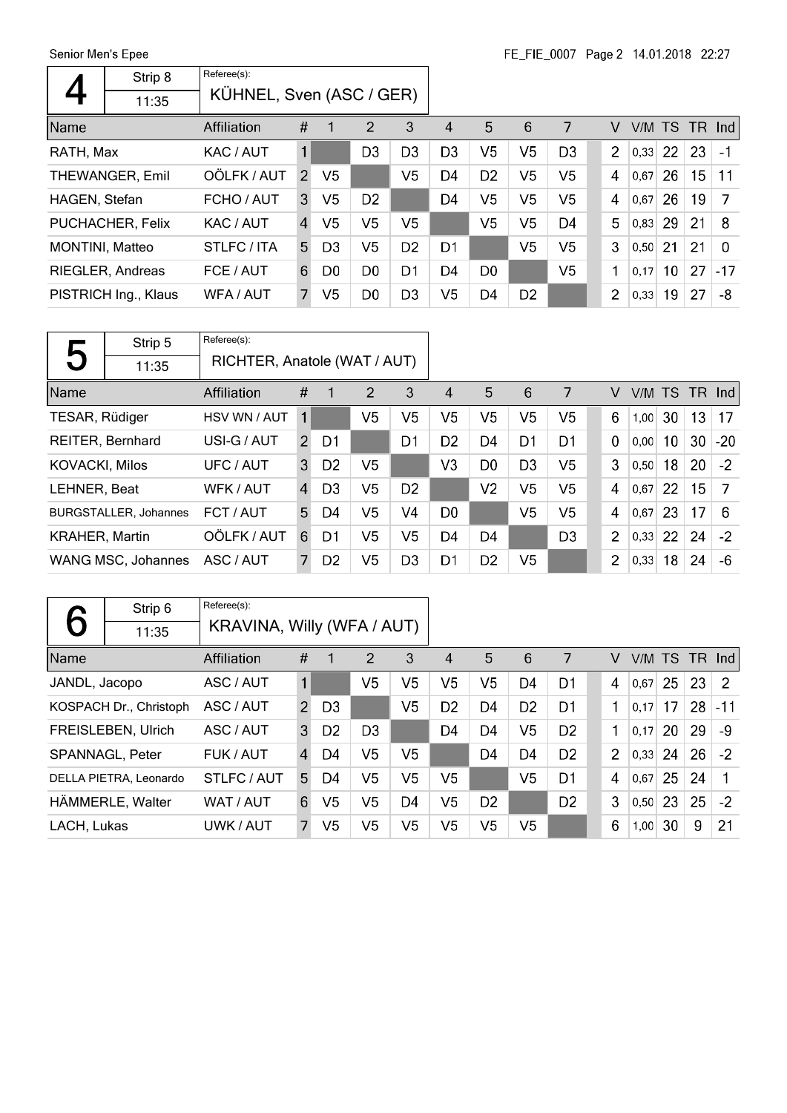| Referee(s):<br>Strip 8<br>KÜHNEL, Sven (ASC / GER)<br>11:35                                                                                                                                 |                |
|---------------------------------------------------------------------------------------------------------------------------------------------------------------------------------------------|----------------|
|                                                                                                                                                                                             |                |
|                                                                                                                                                                                             |                |
| 5<br>#<br>2<br>3<br>Name<br>6<br>7<br>$\boldsymbol{\Lambda}$<br>V<br>Affiliation                                                                                                            | V/M TS TR Ind  |
| V <sub>5</sub><br>V <sub>5</sub><br>$\mathbf{1}$<br>D <sub>3</sub><br>D <sub>3</sub><br>$\overline{2}$<br><b>22</b><br>D <sub>3</sub><br>D <sub>3</sub><br> 0,33 <br>RATH, Max<br>KAC / AUT | 23<br>$-1$     |
| OÖLFK / AUT<br>V <sub>5</sub><br>V <sub>5</sub><br>V <sub>5</sub><br>V <sub>5</sub><br>D <sub>2</sub><br>D4<br>4<br>26<br>THEWANGER, Emil<br>$\mathcal{P}$<br>0,67                          | 15<br>11       |
| V <sub>5</sub><br>V <sub>5</sub><br>V <sub>5</sub><br>V5<br>D <sub>2</sub><br>26<br>D4<br>4<br>FCHO / AUT<br>3<br>HAGEN, Stefan<br>0,67                                                     | 19<br>7        |
| V <sub>5</sub><br>V <sub>5</sub><br>5<br>V <sub>5</sub><br>V <sub>5</sub><br>V <sub>5</sub><br>$ 0,83 $ 29<br>D4<br>PUCHACHER, Felix<br>KAC / AUT<br>$\overline{4}$                         | 21<br>8        |
| V <sub>5</sub><br>V <sub>5</sub><br>3<br>V <sub>5</sub><br>D <sub>2</sub><br>D <sub>1</sub><br>21<br>STLFC / ITA<br>5.<br>D <sub>3</sub><br><b>MONTINI, Matteo</b><br>0,50                  | 21<br>$\Omega$ |
| V <sub>5</sub><br>1<br>D <sub>0</sub><br>D <sub>1</sub><br>D <sub>4</sub><br>10 <sup>°</sup><br>D <sub>0</sub><br>RIEGLER, Andreas<br>6<br>D <sub>0</sub><br>FCE / AUT<br>0.17              | 27<br>$-17$    |
| V5<br>V <sub>5</sub><br>D <sub>2</sub><br>$\overline{2}$<br>D <sub>0</sub><br>D <sub>3</sub><br>D <sub>4</sub><br>19<br>PISTRICH Ing., Klaus<br>WFA / AUT<br>7.<br> 0,33                    | 27<br>-8       |

| 片                        | Strip 5                      | Referee(s):        |                              |                |                |                |                |                |                |                |                |        |    |      |            |
|--------------------------|------------------------------|--------------------|------------------------------|----------------|----------------|----------------|----------------|----------------|----------------|----------------|----------------|--------|----|------|------------|
| $\overline{\phantom{0}}$ | 11:35                        |                    | RICHTER, Anatole (WAT / AUT) |                |                |                |                |                |                |                |                |        |    |      |            |
| Name                     |                              | <b>Affiliation</b> | #                            | $\mathbf 1$    | 2              | 3              | 4              | 5              | 6              | 7              | V              | V/M TS |    | TR . | <b>Ind</b> |
| TESAR, Rüdiger           |                              | HSV WN / AUT       | 1                            |                | V <sub>5</sub> | V <sub>5</sub> | V5             | V5             | V <sub>5</sub> | V <sub>5</sub> | 6              | 1,00   | 30 | 13   | 17         |
|                          | <b>REITER, Bernhard</b>      | USI-G / AUT        | $\overline{2}$               | D1             |                | D1             | D <sub>2</sub> | D4             | D1             | D1             | $\Omega$       | 0,00   | 10 | 30   | $-20$      |
| <b>KOVACKI, Milos</b>    |                              | UFC / AUT          | 3                            | D <sub>2</sub> | V5             |                | V3             | D <sub>0</sub> | D <sub>3</sub> | V <sub>5</sub> | 3              | 0,50   | 18 | 20   | $-2$       |
| LEHNER, Beat             |                              | WFK / AUT          | $\overline{4}$               | D <sub>3</sub> | V5             | D <sub>2</sub> |                | V <sub>2</sub> | V <sub>5</sub> | V <sub>5</sub> | 4              | 0,67   | 22 | 15   | 7          |
|                          | <b>BURGSTALLER, Johannes</b> | FCT / AUT          | 5                            | D4             | V5             | V <sub>4</sub> | D <sub>0</sub> |                | V <sub>5</sub> | V <sub>5</sub> | 4              | 0,67   | 23 | 17   | 6          |
| <b>KRAHER, Martin</b>    |                              | OÖLFK / AUT        | 6                            | D1             | V5             | V5             | D <sub>4</sub> | D <sub>4</sub> |                | D <sub>3</sub> | $\overline{2}$ | 0,33   | 22 | 24   | $-2$       |
|                          | WANG MSC, Johannes           | ASC / AUT          | 7                            | D <sub>2</sub> | V5             | D <sub>3</sub> | D <sub>1</sub> | D <sub>2</sub> | V <sub>5</sub> |                | $\overline{2}$ | 0,33   | 18 | 24   | -6         |

|               | Strip 6                   | Referee(s):                |                |                |                |                |                |                |                |                |                |        |    |    |          |
|---------------|---------------------------|----------------------------|----------------|----------------|----------------|----------------|----------------|----------------|----------------|----------------|----------------|--------|----|----|----------|
|               | 11:35                     | KRAVINA, Willy (WFA / AUT) |                |                |                |                |                |                |                |                |                |        |    |    |          |
| Name          |                           | Affiliation                | #              |                | 2              | 3              | 4              | 5              | 6              | 7              | v              | V/M TS |    |    | $TR$ Ind |
| JANDL, Jacopo |                           | ASC / AUT                  | $\mathbf{1}$   |                | V5             | V5             | V5             | V <sub>5</sub> | D4             | D1             | 4              | 0,67   | 25 | 23 | 2        |
|               | KOSPACH Dr., Christoph    | ASC / AUT                  | $\overline{2}$ | D <sub>3</sub> |                | V <sub>5</sub> | D <sub>2</sub> | D4             | D <sub>2</sub> | D <sub>1</sub> | 1              | 0,17   | 17 | 28 | $-11$    |
|               | <b>FREISLEBEN, Ulrich</b> | ASC / AUT                  | 3              | D <sub>2</sub> | D <sub>3</sub> |                | D4             | D <sub>4</sub> | V <sub>5</sub> | D <sub>2</sub> | 1              | 0.17   | 20 | 29 | -9       |
|               | SPANNAGL, Peter           | FUK / AUT                  | $\overline{4}$ | D4             | V <sub>5</sub> | V <sub>5</sub> |                | D <sub>4</sub> | D <sub>4</sub> | D <sub>2</sub> | $\overline{2}$ | 0,33   | 24 | 26 | $-2$     |
|               | DELLA PIETRA, Leonardo    | STLFC/AUT                  | 5.             | D4             | V5             | V5             | V5             |                | V <sub>5</sub> | D1             | $\overline{4}$ | 0,67   | 25 | 24 |          |
|               | HÄMMERLE, Walter          | WAT / AUT                  | 6              | V <sub>5</sub> | V <sub>5</sub> | D <sub>4</sub> | V5             | D <sub>2</sub> |                | D <sub>2</sub> | 3              | 0,50   | 23 | 25 | $-2$     |
| LACH, Lukas   |                           | UWK / AUT                  | 7              | V <sub>5</sub> | V <sub>5</sub> | V <sub>5</sub> | V5             | V <sub>5</sub> | V <sub>5</sub> |                | 6              | 1,00   | 30 | 9  | 21       |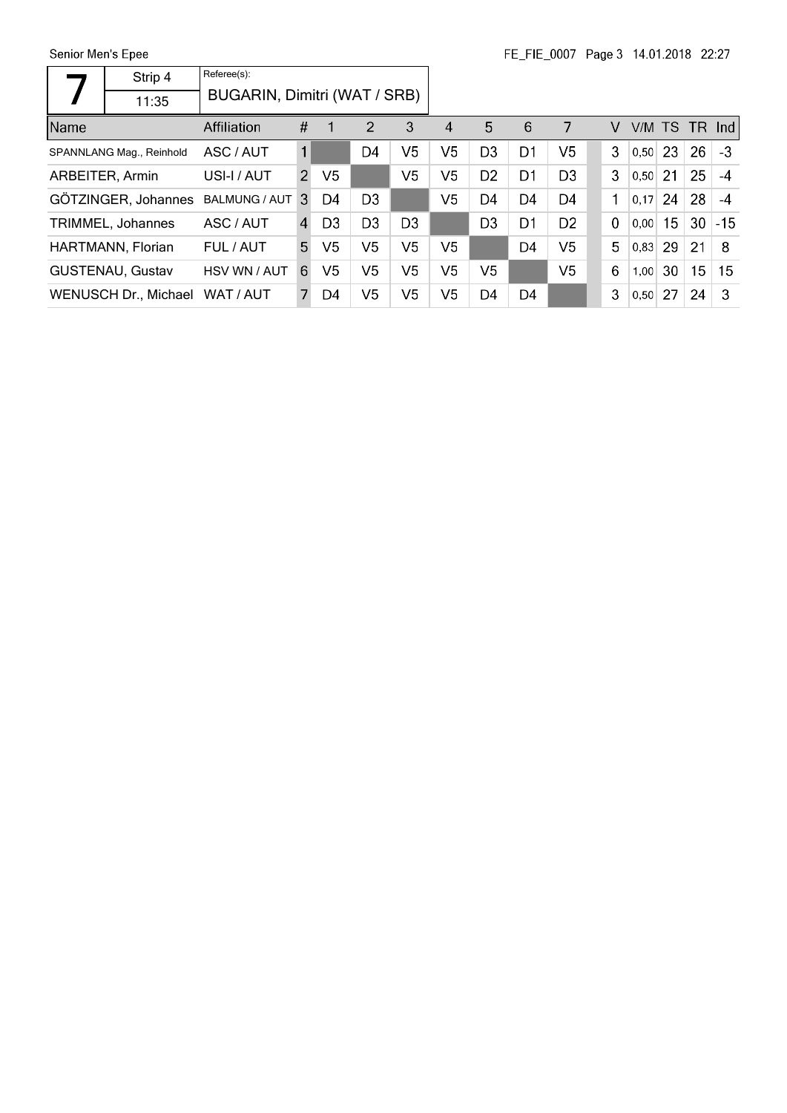Senior Men's Epee

|      | Strip 4                  | Referee(s):                  |                |                |                |                |                |                |                |                |             |           |    |    |          |
|------|--------------------------|------------------------------|----------------|----------------|----------------|----------------|----------------|----------------|----------------|----------------|-------------|-----------|----|----|----------|
|      | 11:35                    | BUGARIN, Dimitri (WAT / SRB) |                |                |                |                |                |                |                |                |             |           |    |    |          |
| Name |                          | Affiliation                  | #              |                | 2              | 3              | 4              | 5              | 6              | 7              | V           | V/M TS    |    |    | $TR$ Ind |
|      | SPANNLANG Mag., Reinhold | ASC / AUT                    | 1              |                | D4             | V5             | V5             | D <sub>3</sub> | D1             | V5             | 3           | $0,50$ 23 |    | 26 | $-3$     |
|      | ARBEITER, Armin          | USI-I / AUT                  | $\overline{2}$ | V <sub>5</sub> |                | V <sub>5</sub> | V5             | D <sub>2</sub> | D1             | D <sub>3</sub> | 3           | $0,50$ 21 |    | 25 | $-4$     |
|      | GÖTZINGER, Johannes      | <b>BALMUNG / AUT</b>         | 3              | D4             | D <sub>3</sub> |                | V <sub>5</sub> | D4             | D4             | D4             | 1           | 0,17      | 24 | 28 | $-4$     |
|      | TRIMMEL, Johannes        | ASC / AUT                    | 4              | D <sub>3</sub> | D <sub>3</sub> | D <sub>3</sub> |                | D <sub>3</sub> | D1             | D <sub>2</sub> | $\mathbf 0$ | 0.00      | 15 | 30 | $-15$    |
|      | HARTMANN, Florian        | FUL / AUT                    | 5              | V5             | V5             | V <sub>5</sub> | V5             |                | D <sub>4</sub> | V <sub>5</sub> | 5           | 0.83      | 29 | 21 | 8        |
|      | <b>GUSTENAU, Gustav</b>  | HSV WN / AUT                 | 6              | V5             | V <sub>5</sub> | V <sub>5</sub> | V5             | V <sub>5</sub> |                | V <sub>5</sub> | 6           | 1,00      | 30 | 15 | 15       |
|      | WENUSCH Dr., Michael     | WAT / AUT                    |                | D4             | V5             | V <sub>5</sub> | V5             | D4             | D4             |                | 3           | 0,50      | 27 | 24 | 3        |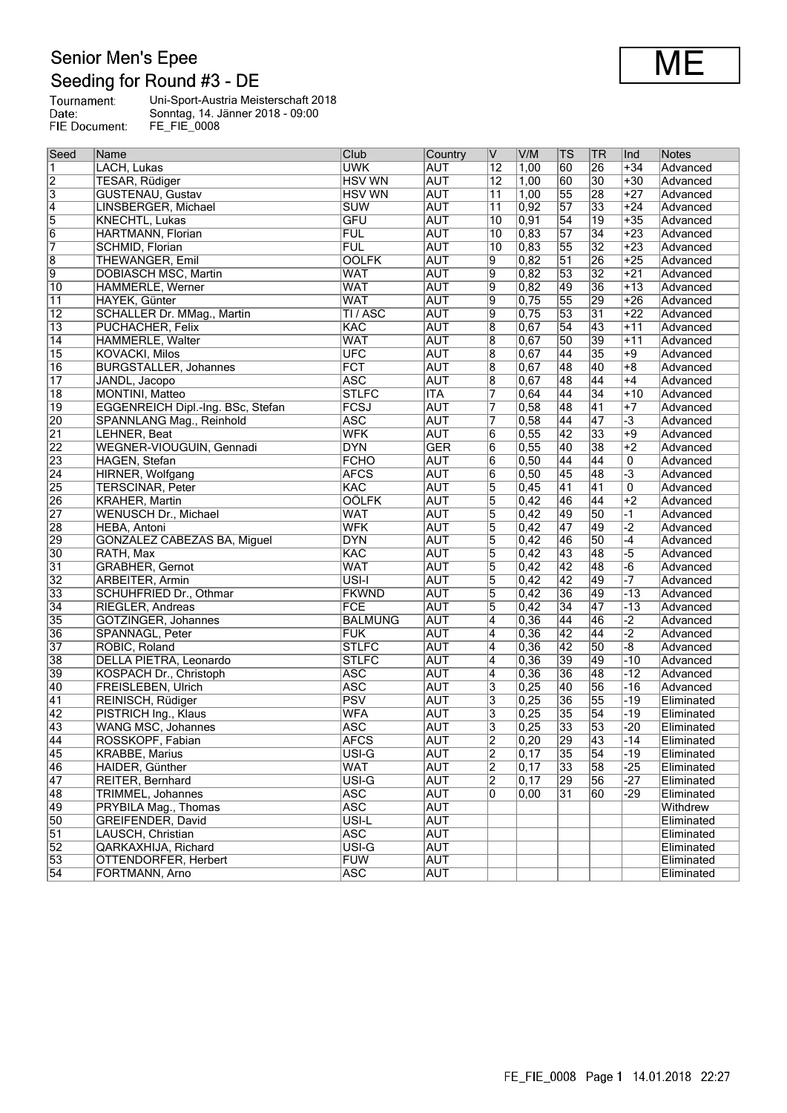## **Senior Men's Epee** Seeding for Round #3 - DE

Tournament:<br>Date:<br>FIE Document: Uni-Sport-Austria Meisterschaft 2018 Sonntag, 14. Jänner 2018 - 09:00 FE\_FIE\_0008

| Seed            | Name                              | Club               | Country    | IV                  | V/M               | TS              | ∣TR              | Ind             | Notes      |
|-----------------|-----------------------------------|--------------------|------------|---------------------|-------------------|-----------------|------------------|-----------------|------------|
| 1               | LACH, Lukas                       | <b>UWK</b>         | <b>AUT</b> | $\overline{12}$     | 1,00              | 60              | 26               | $+34$           | Advanced   |
| $\overline{2}$  | <b>TESAR, Rüdiger</b>             | <b>HSV WN</b>      | <b>AUT</b> | $\overline{12}$     | 1,00              | 60              | $\overline{30}$  | $+30$           | Advanced   |
| $\overline{3}$  | <b>GUSTENAU, Gustav</b>           | <b>HSV WN</b>      | <b>AUT</b> | $\overline{11}$     | 1,00              | 55              | 28               | $+27$           | Advanced   |
| $\overline{4}$  | LINSBERGER, Michael               | <b>SUW</b>         | <b>AUT</b> | 11                  | 0,92              | $\overline{57}$ | 33               | $+24$           | Advanced   |
| $\overline{5}$  | <b>KNECHTL, Lukas</b>             | <b>GFU</b>         | <b>AUT</b> | $\overline{10}$     | 0,91              | $\overline{54}$ | $\overline{19}$  | $+35$           | Advanced   |
| $\overline{6}$  | HARTMANN, Florian                 | FUL                | <b>AUT</b> | 10                  | 0,83              | 57              | $\overline{34}$  | $+23$           | Advanced   |
| 7               | SCHMID, Florian                   | <b>FUL</b>         | <b>AUT</b> | $\overline{10}$     | 0,83              | 55              | $\overline{32}$  | $+23$           | Advanced   |
| $\overline{8}$  | <b>THEWANGER, Emil</b>            | <b>OÖLFK</b>       | <b>AUT</b> | 9                   | 0,82              | $\overline{51}$ | 26               | $+25$           | Advanced   |
| $\overline{9}$  | <b>DOBIASCH MSC, Martin</b>       | <b>WAT</b>         | <b>AUT</b> | 9                   | 0,82              | 53              | $\overline{32}$  | $+21$           | Advanced   |
| $\overline{10}$ | HÄMMERLE, Werner                  | <b>WAT</b>         | <b>AUT</b> | 9                   | 0,82              | 49              | 36               | $+13$           | Advanced   |
| $\overline{11}$ | <b>HAYEK, Günter</b>              | <b>WAT</b>         | <b>AUT</b> | 9                   | 0,75              | 55              | 29               | $+26$           | Advanced   |
| $\overline{12}$ | SCHALLER Dr. MMag., Martin        | TI / ASC           | <b>AUT</b> | 9                   | 0,75              | 53              | 31               | $+22$           | Advanced   |
| $\overline{13}$ | PUCHACHER, Felix                  | <b>KAC</b>         | <b>AUT</b> | 8                   | 0,67              | 54              | 43               | $+11$           | Advanced   |
| $\overline{14}$ | HÄMMERLE, Walter                  | <b>WAT</b>         | <b>AUT</b> | 8                   | 0,67              | 50              | 39               | $+11$           | Advanced   |
| $\overline{15}$ | <b>KOVACKI, Milos</b>             | <b>UFC</b>         | <b>AUT</b> | 8                   | 0,67              | 44              | 35               | $+9$            | Advanced   |
| $\overline{16}$ | <b>BURGSTALLER, Johannes</b>      | FCT                | <b>AUT</b> | 8                   | 0,67              | 48              | 40               | $+8$            | Advanced   |
| $\overline{17}$ | JANDL, Jacopo                     | <b>ASC</b>         | <b>AUT</b> | $\overline{8}$      | 0,67              | 48              | $\overline{44}$  | $+4$            | Advanced   |
| $\overline{18}$ | <b>MONTINI</b> , Matteo           | <b>STLFC</b>       | <b>ITA</b> | 7                   | 0,64              | 44              | 34               | $+10$           | Advanced   |
| $\overline{19}$ | EGGENREICH Dipl.-Ing. BSc, Stefan | FCSJ               | <b>AUT</b> | 7                   | 0,58              | 48              | $\overline{41}$  | $+7$            | Advanced   |
| 20              | SPANNLANG Mag., Reinhold          | <b>ASC</b>         | <b>AUT</b> | 7                   | 0,58              | 44              | 47               | $\overline{-3}$ | Advanced   |
| $\overline{21}$ | LEHNER, Beat                      | <b>WFK</b>         | <b>AUT</b> | $6\overline{6}$     | 0,55              | 42              | 33               | $+9$            | Advanced   |
| 22              | WEGNER-VIOUGUIN, Gennadi          | <b>DYN</b>         | <b>GER</b> | 6                   | 0,55              | 40              | $\overline{38}$  | $+2$            | Advanced   |
| 23              | HAGEN, Stefan                     | <b>FCHO</b>        | <b>AUT</b> | 6                   | 0,50              | 44              | 44               | $\overline{0}$  | Advanced   |
| $\overline{24}$ |                                   | <b>AFCS</b>        | <b>AUT</b> | 6                   | 0,50              | 45              | 48               | $\overline{-3}$ | Advanced   |
| 25              | HIRNER, Wolfgang                  | KAC                | <b>AUT</b> | 5                   | 0,45              | 41              | 41               | $\overline{0}$  | Advanced   |
| 26              | <b>TERSCINAR, Peter</b>           | <b>OÖLFK</b>       | <b>AUT</b> |                     | 0,42              | 46              | 44               | $+2$            | Advanced   |
| $\overline{27}$ | <b>KRAHER, Martin</b>             | <b>WAT</b>         | <b>AUT</b> | 5<br>$\overline{5}$ | 0,42              | 49              | 50               | $\overline{-1}$ |            |
|                 | <b>WENUSCH Dr., Michael</b>       | <b>WFK</b>         |            |                     |                   |                 |                  |                 | Advanced   |
| 28              | HEBA, Antoni                      |                    | <b>AUT</b> | 5                   | 0,42              | 47              | 49               | $\overline{-2}$ | Advanced   |
| 29              | GONZÀLEZ CABEZAS BA, Miguel       | <b>DYN</b>         | <b>AUT</b> | 5                   | 0,42              | 46              | 50               | $\overline{-4}$ | Advanced   |
| 30              | RATH, Max                         | <b>KAC</b>         | <b>AUT</b> | 5                   | 0,42              | 43              | 48               | $\overline{-5}$ | Advanced   |
| 31              | <b>GRABHER, Gernot</b>            | <b>WAT</b>         | <b>AUT</b> | 5                   | 0,42              | 42              | 48               | $-\overline{6}$ | Advanced   |
| $\overline{32}$ | <b>ARBEITER, Armin</b>            | USI-I              | <b>AUT</b> | $\overline{5}$      | 0,42              | 42              | 49               |                 | Advanced   |
| $\overline{33}$ | SCHUHFRIED Dr., Othmar            | <b>FKWND</b>       | <b>AUT</b> | 5                   | 0,42              | 36              | $\overline{49}$  | $-13$           | Advanced   |
| $\overline{34}$ | RIEGLER, Andreas                  | FCE                | <b>AUT</b> | 5                   | 0,42              | $\overline{34}$ | $\overline{147}$ | $-13$           | Advanced   |
| 35              | GÖTZINGER, Johannes               | <b>BALMUNG</b>     | <b>AUT</b> | 4                   | 0,36              | 44              | 46               | $-2$            | Advanced   |
| 36              | SPANNAGL, Peter                   | <b>FUK</b>         | <b>AUT</b> | 4                   | 0,36              | 42              | $\overline{144}$ | $\overline{-2}$ | Advanced   |
| 37              | ROBIC, Roland                     | <b>STLFC</b>       | <b>AUT</b> | 4                   | 0,36              | $\overline{42}$ | 50               | -8              | Advanced   |
| 38              | DELLA PIETRA, Leonardo            | <b>STLFC</b>       | <b>AUT</b> | 4                   | 0,36              | 39              | 49               | $-10$           | Advanced   |
| 39              | KOSPACH Dr., Christoph            | <b>ASC</b>         | <b>AUT</b> | 4                   | 0,36              | 36              | 48               | $-12$           | Advanced   |
| 40              | <b>FREISLEBEN, Ulrich</b>         | <b>ASC</b>         | <b>AUT</b> | 3                   | 0,25              | 40              | 56               | $-16$           | Advanced   |
| 41              | REINISCH, Rüdiger                 | PSV                | <b>AUT</b> | 3                   | 0,25              | 36              | 55               | $-19$           | Eliminated |
| $\overline{42}$ | PISTRICH Ing., Klaus              | <b>WFA</b>         | <b>AUT</b> | 3                   | 0,25              | 35              | $\overline{54}$  | $-19$           | Eliminated |
| 43              | WANG MSC, Johannes                | <b>ASC</b>         | <b>AUT</b> | 3                   | 0,25              | 33              | 53               | $-20$           | Eliminated |
| $\overline{44}$ | ROSSKOPF, Fabian                  | <b>AFCS</b>        | <b>AUT</b> | $\overline{2}$      | $\overline{0,20}$ | 29              | $\overline{43}$  | $-14$           | Eliminated |
| 45              | <b>KRABBE, Marius</b>             | USI-G              | <b>AUT</b> | $\overline{2}$      | $\overline{0,17}$ | $\overline{35}$ | $\overline{54}$  | -19             | Eliminated |
| 46              | HAIDER, Günther                   | <b>WAT</b>         | <b>AUT</b> | $\overline{2}$      | 0,17              | 33              | 58               | $-25$           | Eliminated |
| $\overline{47}$ | REITER, Bernhard                  | $\overline{USI-G}$ | <b>AUT</b> | $\overline{2}$      | $\overline{0,17}$ | 29              | 56               | $-27$           | Eliminated |
| $\overline{48}$ | TRIMMEL, Johannes                 | <b>ASC</b>         | <b>AUT</b> | 0                   | 0,00              | 31              | 60               | -29             | Eliminated |
| 49              | PRYBILA Mag., Thomas              | <b>ASC</b>         | <b>AUT</b> |                     |                   |                 |                  |                 | Withdrew   |
| 50              | GREIFENDER, David                 | USI-L              | <b>AUT</b> |                     |                   |                 |                  |                 | Eliminated |
| $\overline{51}$ | LAUSCH, Christian                 | <b>ASC</b>         | <b>AUT</b> |                     |                   |                 |                  |                 | Eliminated |
| $\overline{52}$ | QARKAXHIJA, Richard               | USI-G              | <b>AUT</b> |                     |                   |                 |                  |                 | Eliminated |
| 53              | <b>OTTENDORFER, Herbert</b>       | <b>FUW</b>         | <b>AUT</b> |                     |                   |                 |                  |                 | Eliminated |
| $\overline{54}$ | FORTMANN, Arno                    | <b>ASC</b>         | AUT        |                     |                   |                 |                  |                 | Eliminated |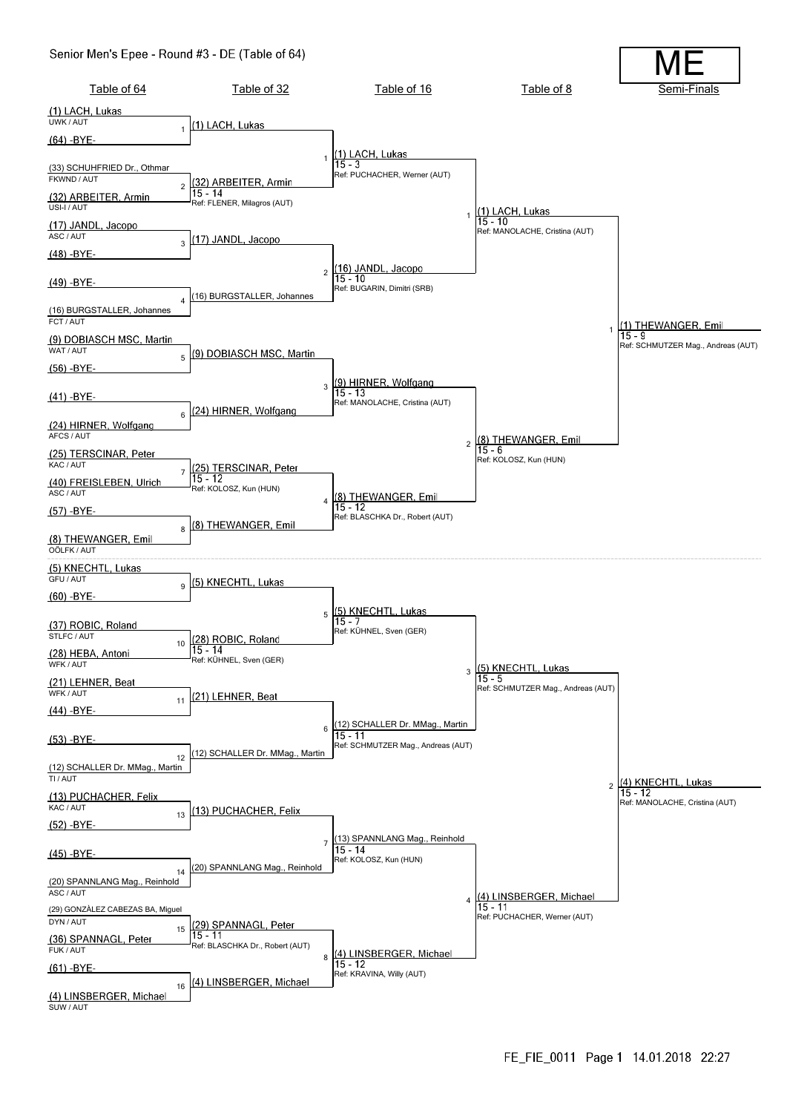#### Senior Men's Epee - Round #3 - DE (Table of 64)

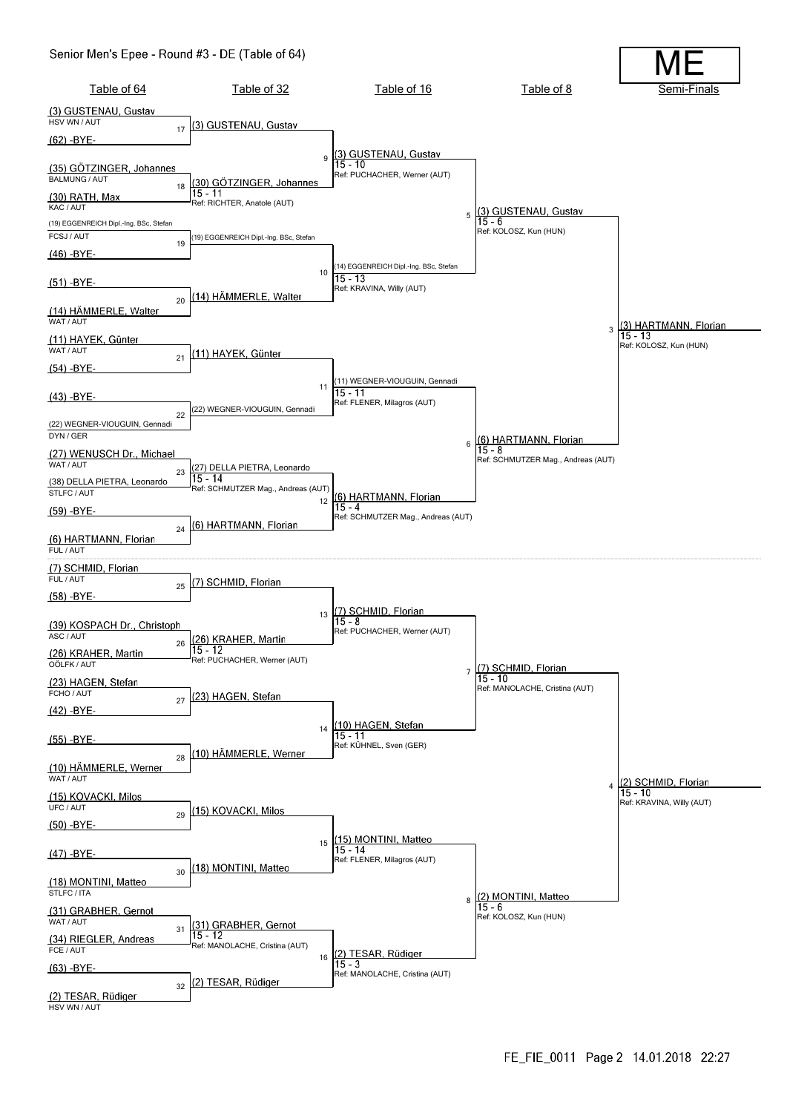#### Senior Men's Epee - Round #3 - DE (Table of 64)

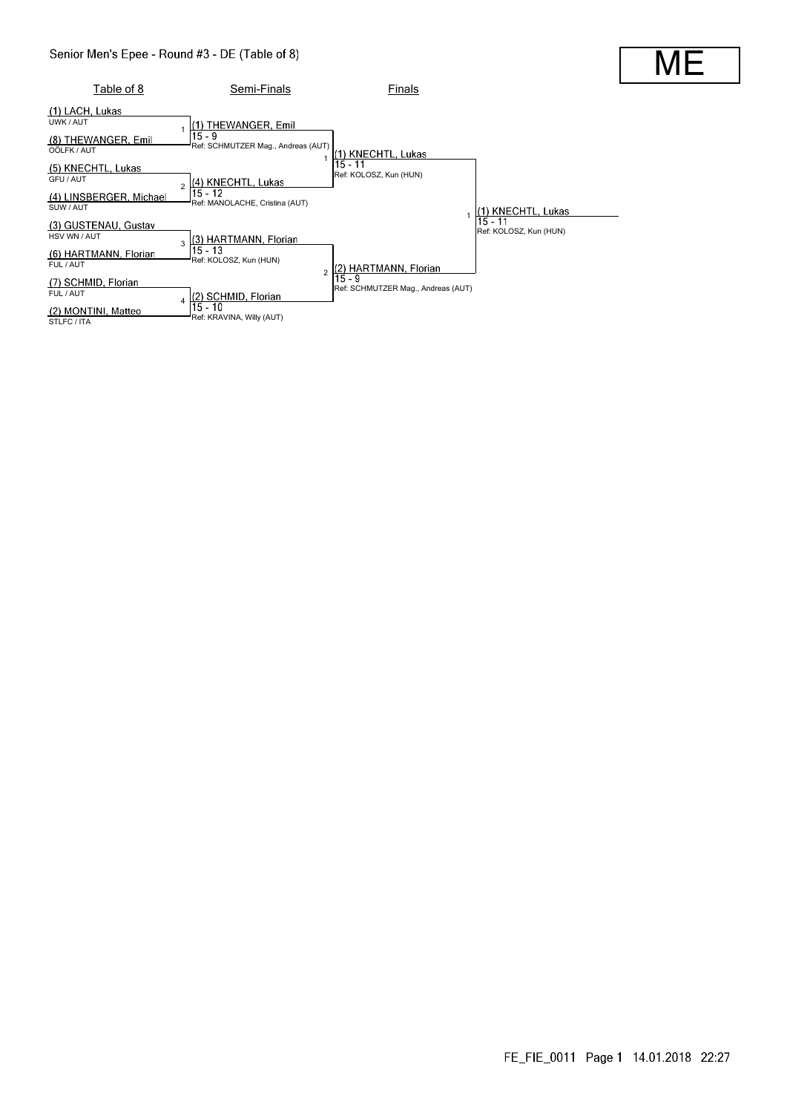#### Senior Men's Epee - Round #3 - DE (Table of 8)

| Table of 8                                                                                                                                                    | Semi-Finals                                                                                                                                                                                                     | Finals                                                            |                                                         |  |
|---------------------------------------------------------------------------------------------------------------------------------------------------------------|-----------------------------------------------------------------------------------------------------------------------------------------------------------------------------------------------------------------|-------------------------------------------------------------------|---------------------------------------------------------|--|
| (1) LACH, Lukas<br>UWK / AUT<br>(8) THEWANGER, Emil<br>OÖLFK / AUT<br>(5) KNECHTL, Lukas<br>GFU / AUT<br>(4) LINSBERGER, Michael                              | (1) THEWANGER, Emil<br>$15 - 9$<br>Ref: SCHMUTZER Mag., Andreas (AUT)<br>(4) KNECHTL, Lukas<br>$\mathfrak{p}$<br>15 - 12                                                                                        | <b>KNECHTL, Lukas</b><br>15 - 11<br>Ref: KOLOSZ, Kun (HUN)        |                                                         |  |
| SUW/AUT<br>(3) GUSTENAU, Gustav<br>HSV WN / AUT<br>(6) HARTMANN, Florian<br>FUL / AUT<br>(7) SCHMID, Florian<br>FUL / AUT<br>(2) MONTINI, Matteo<br>STLFC/ITA | Ref: MANOLACHE, Cristina (AUT)<br>(3) HARTMANN, Florian<br>3<br>$15 - 13$<br>Ref: KOLOSZ, Kun (HUN)<br>$\mathfrak{p}$<br>(2) SCHMID, Florian<br>$\overline{\mathbf{A}}$<br>15 - 10<br>Ref: KRAVINA, Willy (AUT) | HARTMANN, Florian<br>15 - 9<br>Ref: SCHMUTZER Mag., Andreas (AUT) | (1) KNECHTL, Lukas<br>15 - 11<br>Ref: KOLOSZ, Kun (HUN) |  |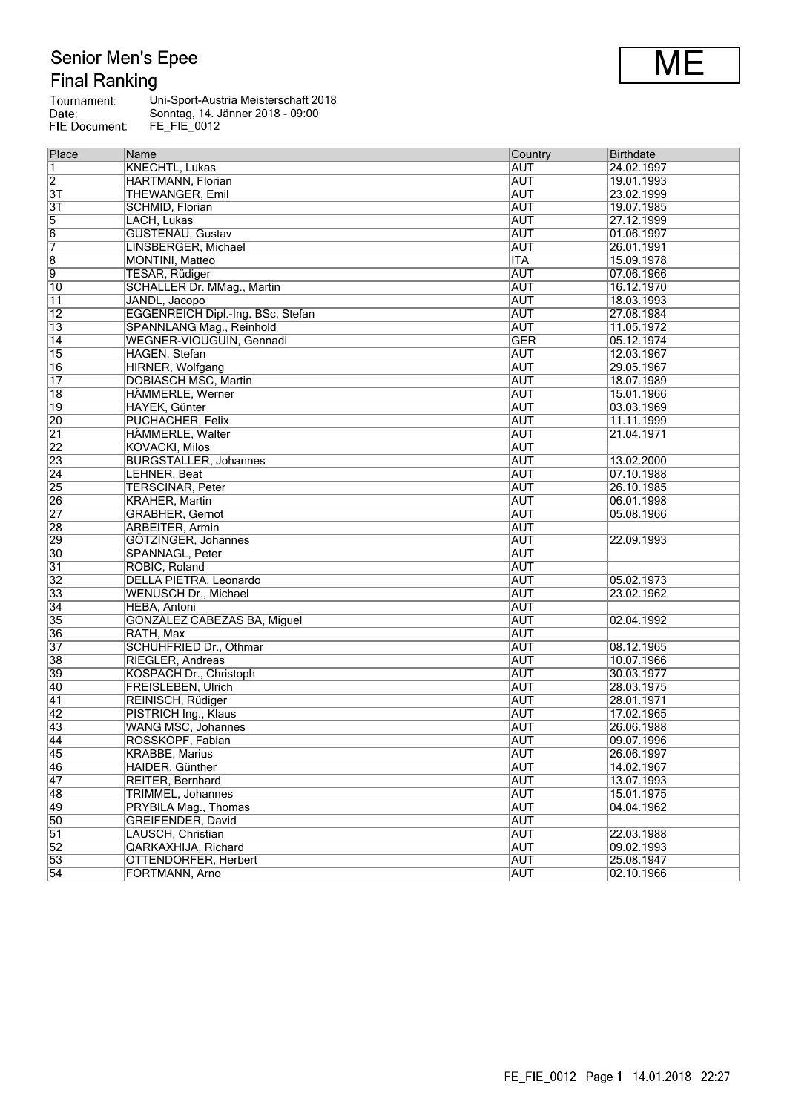# Senior Men's Epee<br>Final Ranking

| Tournament:   | Uni-Sport-Austria Meisterschaft 2018 |
|---------------|--------------------------------------|
| Date:         | Sonntag, 14. Jänner 2018 - 09:00     |
| FIE Document: | FE FIE 0012                          |

| Place           | Name                              | Country    | <b>Birthdate</b> |
|-----------------|-----------------------------------|------------|------------------|
| 1               | <b>KNECHTL, Lukas</b>             | <b>AUT</b> | 24.02.1997       |
| $\overline{2}$  | HARTMANN, Florian                 | <b>AUT</b> | 19.01.1993       |
| $\overline{3T}$ | THEWANGER, Emil                   | <b>AUT</b> | 23.02.1999       |
| $\overline{3T}$ | SCHMID, Florian                   | <b>AUT</b> | 19.07.1985       |
| $\overline{5}$  | LACH, Lukas                       | <b>AUT</b> | 27.12.1999       |
| $\overline{6}$  | <b>GUSTENAU, Gustav</b>           | <b>AUT</b> | 01.06.1997       |
| 7               | LINSBERGER, Michael               | <b>AUT</b> | 26.01.1991       |
| $\overline{8}$  | <b>MONTINI</b> , Matteo           | <b>ITA</b> | 15.09.1978       |
| $\overline{9}$  | <b>TESAR, Rüdiger</b>             | <b>AUT</b> | 07.06.1966       |
| $ 10\rangle$    | <b>SCHALLER Dr. MMag., Martin</b> | <b>AUT</b> | 16.12.1970       |
| $\overline{11}$ | JANDL, Jacopo                     | <b>AUT</b> | 18.03.1993       |
| $\overline{12}$ | EGGENREICH Dipl.-Ing. BSc, Stefan | <b>AUT</b> | 27.08.1984       |
| $\overline{13}$ | SPANNLANG Mag., Reinhold          | <b>AUT</b> | 11.05.1972       |
| 14              | WEGNER-VIOUGUIN, Gennadi          | <b>GER</b> | 05.12.1974       |
| 15              | HAGEN, Stefan                     | AUT        | 12.03.1967       |
| 16              | HIRNER, Wolfgang                  | AUT        | 29.05.1967       |
| $\overline{17}$ | <b>DOBIASCH MSC, Martin</b>       | <b>AUT</b> | 18.07.1989       |
| 18              | HÄMMERLE, Werner                  | <b>AUT</b> | 15.01.1966       |
| $ 19\rangle$    | HAYEK, Günter                     | <b>AUT</b> | 03.03.1969       |
| $\overline{20}$ | PUCHACHER, Felix                  | <b>AUT</b> | 11.11.1999       |
| $\overline{21}$ | HÄMMERLE, Walter                  | <b>AUT</b> | 21.04.1971       |
| $\overline{22}$ | <b>KOVACKI, Milos</b>             | <b>AUT</b> |                  |
| 23              | <b>BURGSTALLER, Johannes</b>      | <b>AUT</b> | 13.02.2000       |
| $\overline{24}$ | LEHNER, Beat                      | <b>AUT</b> | 07.10.1988       |
| $\overline{25}$ | <b>TERSCINAR, Peter</b>           | aut        | 26.10.1985       |
| 26              | <b>KRAHER, Martin</b>             | <b>AUT</b> | 06.01.1998       |
| $\overline{27}$ | <b>GRABHER, Gernot</b>            | <b>AUT</b> | 05.08.1966       |
| $\overline{28}$ | <b>ARBEITER, Armin</b>            | <b>AUT</b> |                  |
| 29              | GÖTZINGER, Johannes               | <b>AUT</b> | 22.09.1993       |
| $\overline{30}$ | SPANNAGL, Peter                   | <b>AUT</b> |                  |
| $\overline{31}$ | ROBIC, Roland                     | <b>AUT</b> |                  |
| $\overline{32}$ | DELLA PIETRA, Leonardo            | <b>AUT</b> | 05.02.1973       |
| $\overline{33}$ | WENUSCH Dr., Michael              | <b>AUT</b> | 23.02.1962       |
| $\overline{34}$ | <b>HEBA, Antoni</b>               | <b>AUT</b> |                  |
| 35              | GONZÀLEZ CABEZAS BA, Miguel       | <b>AUT</b> | 02.04.1992       |
| 36              | RATH, Max                         | <b>AUT</b> |                  |
| $\overline{37}$ | <b>SCHUHFRIED Dr., Othmar</b>     | <b>AUT</b> | 08.12.1965       |
| 38              | RIEGLER, Andreas                  | <b>AUT</b> | 10.07.1966       |
| 39              | KOSPACH Dr., Christoph            | <b>AUT</b> | 30.03.1977       |
| 40              | <b>FREISLEBEN, Ulrich</b>         | <b>AUT</b> | 28.03.1975       |
| $\overline{41}$ | REINISCH, Rüdiger                 | <b>AUT</b> | 28.01.1971       |
| $\overline{42}$ | PISTRICH Ing., Klaus              | <b>AUT</b> | 17.02.1965       |
| 43              | WANG MSC, Johannes                | <b>AUT</b> | 26.06.1988       |
| 44              | ROSSKOPF, Fabian                  | AUT        | 09.07.1996       |
| 45              | <b>KRABBE, Marius</b>             | <b>AUT</b> | 26.06.1997       |
| $\overline{46}$ | HAIDER, Günther                   | <b>AUT</b> | 14.02.1967       |
| $\overline{47}$ | REITER, Bernhard                  | <b>AUT</b> | 13.07.1993       |
| 48              | TRIMMEL, Johannes                 | <b>AUT</b> | 15.01.1975       |
| 49              | PRYBILA Mag., Thomas              | <b>AUT</b> | 04.04.1962       |
| 50              | <b>GREIFENDER, David</b>          | <b>AUT</b> |                  |
| $\overline{51}$ | LAUSCH, Christian                 | <b>AUT</b> | 22.03.1988       |
| $\overline{52}$ | <b>QARKAXHIJA, Richard</b>        | <b>AUT</b> | 09.02.1993       |
| 53              | OTTENDORFER, Herbert              | <b>AUT</b> | 25.08.1947       |
| 54              | FORTMANN, Arno                    | <b>AUT</b> | 02.10.1966       |
|                 |                                   |            |                  |